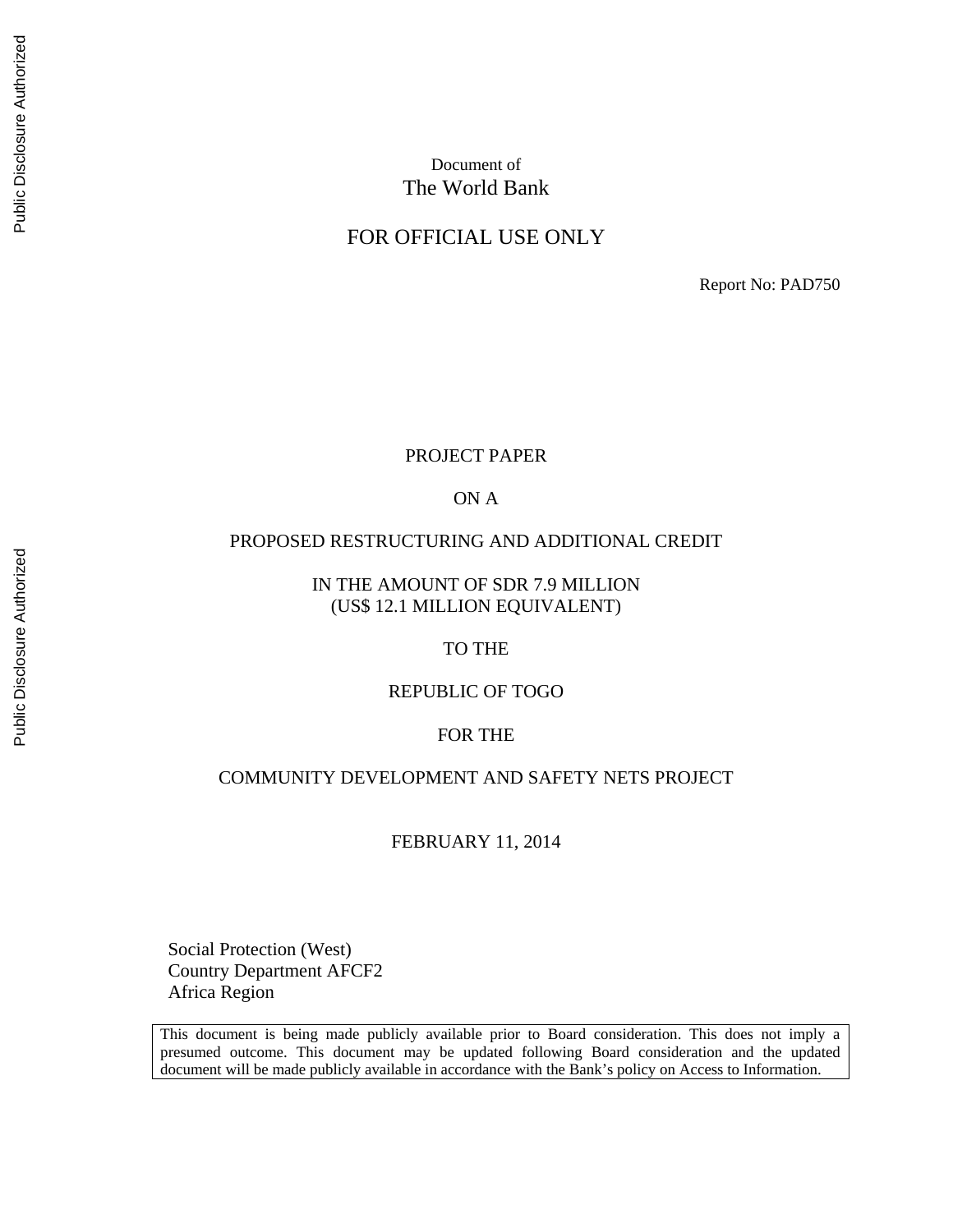# Document of The World Bank

# FOR OFFICIAL USE ONLY

Report No: PAD750

#### PROJECT PAPER

ON A

#### PROPOSED RESTRUCTURING AND ADDITIONAL CREDIT

IN THE AMOUNT OF SDR 7.9 MILLION (US\$ 12.1 MILLION EQUIVALENT)

TO THE

REPUBLIC OF TOGO

#### FOR THE

#### COMMUNITY DEVELOPMENT AND SAFETY NETS PROJECT

FEBRUARY 11, 2014

Social Protection (West) Country Department AFCF2 Africa Region

This document is being made publicly available prior to Board consideration. This does not imply a presumed outcome. This document may be updated following Board consideration and the updated document will be made publicly available in accordance with the Bank's policy on Access to Information.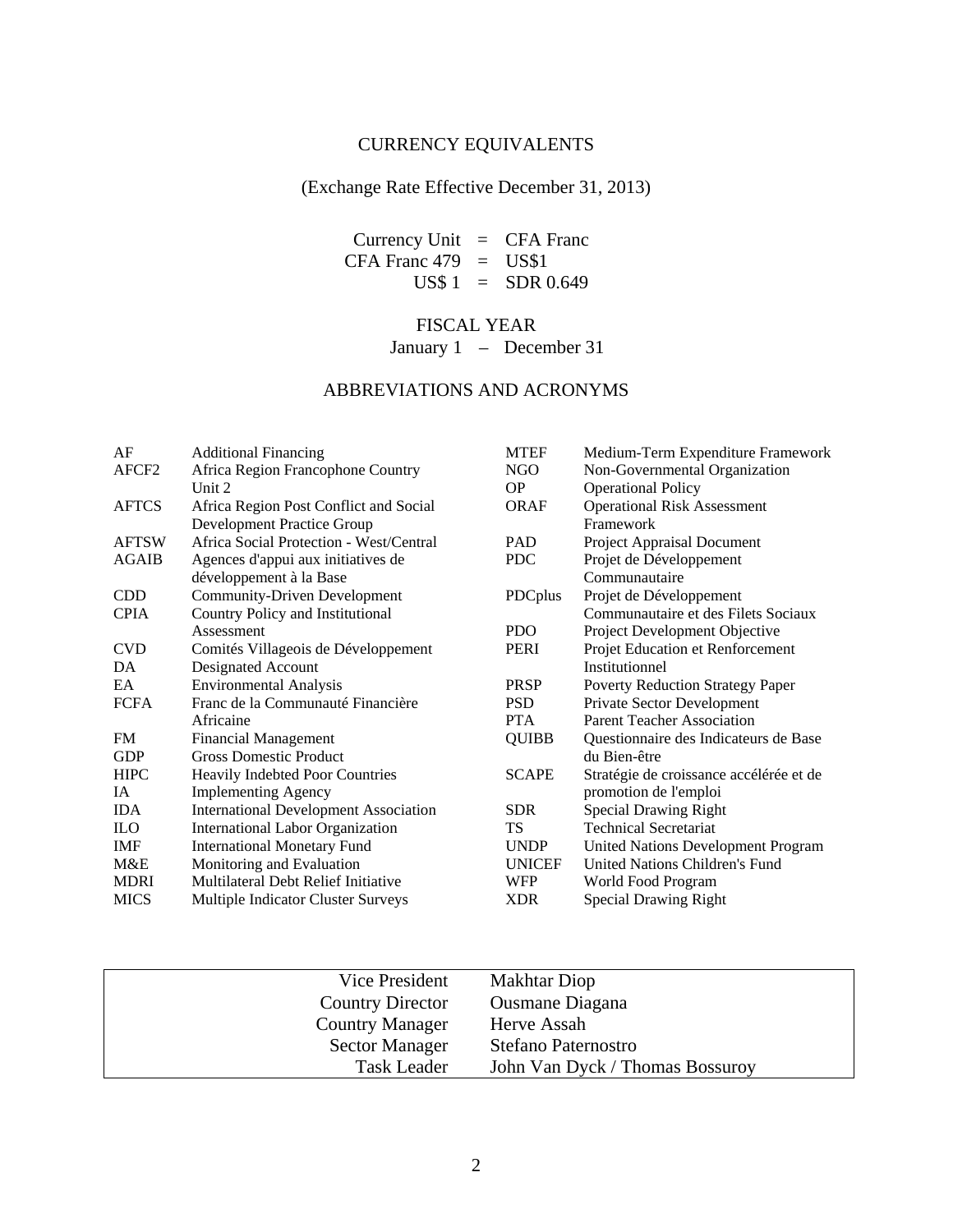# CURRENCY EQUIVALENTS

### (Exchange Rate Effective December 31, 2013)

Currency Unit = CFA Franc CFA Franc  $479 = US$1$  $US$ 1 = SDR 0.649$ 

## FISCAL YEAR

January 1 – December 31

# ABBREVIATIONS AND ACRONYMS

| AF                | <b>Additional Financing</b>                  | <b>MTEF</b>   | Medium-Term Expenditure Framework         |
|-------------------|----------------------------------------------|---------------|-------------------------------------------|
| AFCF <sub>2</sub> | Africa Region Francophone Country            | NGO           | Non-Governmental Organization             |
|                   | Unit 2                                       | <b>OP</b>     | <b>Operational Policy</b>                 |
| <b>AFTCS</b>      | Africa Region Post Conflict and Social       | <b>ORAF</b>   | <b>Operational Risk Assessment</b>        |
|                   | <b>Development Practice Group</b>            |               | Framework                                 |
| <b>AFTSW</b>      | Africa Social Protection - West/Central      | <b>PAD</b>    | Project Appraisal Document                |
| <b>AGAIB</b>      | Agences d'appui aux initiatives de           | <b>PDC</b>    | Projet de Développement                   |
|                   | développement à la Base                      |               | Communautaire                             |
| <b>CDD</b>        | <b>Community-Driven Development</b>          | PDCplus       | Projet de Développement                   |
| <b>CPIA</b>       | Country Policy and Institutional             |               | Communautaire et des Filets Sociaux       |
|                   | Assessment                                   | PDO.          | Project Development Objective             |
| <b>CVD</b>        | Comités Villageois de Développement          | PERI          | Projet Education et Renforcement          |
| DA                | Designated Account                           |               | Institutionnel                            |
| EA                | <b>Environmental Analysis</b>                | <b>PRSP</b>   | <b>Poverty Reduction Strategy Paper</b>   |
| <b>FCFA</b>       | Franc de la Communauté Financière            | <b>PSD</b>    | Private Sector Development                |
|                   | Africaine                                    | <b>PTA</b>    | <b>Parent Teacher Association</b>         |
| <b>FM</b>         | <b>Financial Management</b>                  | <b>QUIBB</b>  | Questionnaire des Indicateurs de Base     |
| <b>GDP</b>        | <b>Gross Domestic Product</b>                |               | du Bien-être                              |
| <b>HIPC</b>       | Heavily Indebted Poor Countries              | <b>SCAPE</b>  | Stratégie de croissance accélérée et de   |
| IA                | <b>Implementing Agency</b>                   |               | promotion de l'emploi                     |
| <b>IDA</b>        | <b>International Development Association</b> | <b>SDR</b>    | <b>Special Drawing Right</b>              |
| <b>ILO</b>        | <b>International Labor Organization</b>      | TS            | <b>Technical Secretariat</b>              |
| <b>IMF</b>        | <b>International Monetary Fund</b>           | <b>UNDP</b>   | <b>United Nations Development Program</b> |
| M&E               | Monitoring and Evaluation                    | <b>UNICEF</b> | United Nations Children's Fund            |
| <b>MDRI</b>       | Multilateral Debt Relief Initiative          | <b>WFP</b>    | World Food Program                        |
| <b>MICS</b>       | Multiple Indicator Cluster Surveys           | <b>XDR</b>    | <b>Special Drawing Right</b>              |
|                   |                                              |               |                                           |

| Vice President          | <b>Makhtar Diop</b>             |
|-------------------------|---------------------------------|
| <b>Country Director</b> | <b>Ousmane Diagana</b>          |
| <b>Country Manager</b>  | Herve Assah                     |
| <b>Sector Manager</b>   | Stefano Paternostro             |
| <b>Task Leader</b>      | John Van Dyck / Thomas Bossuroy |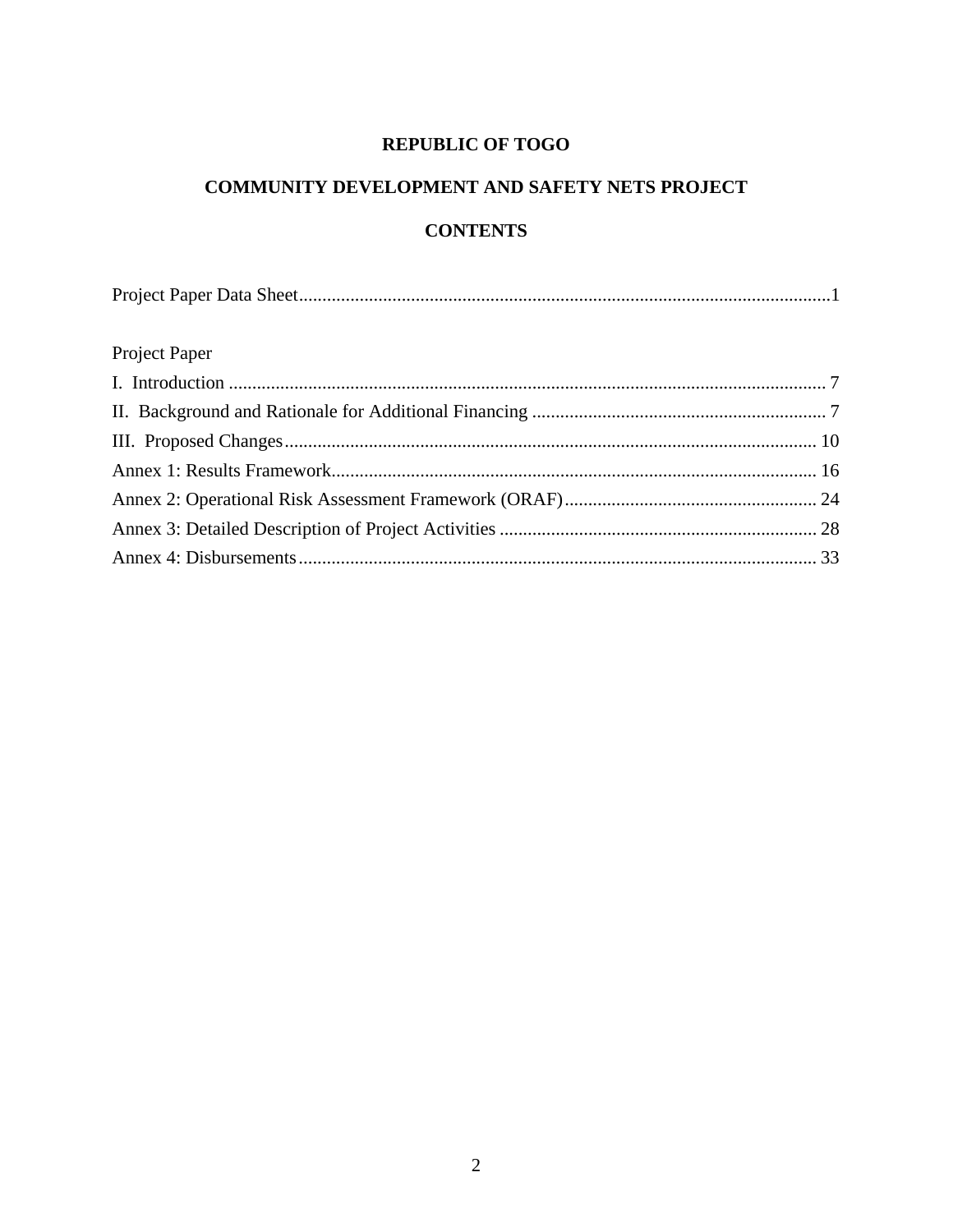# **REPUBLIC OF TOGO**

# **COMMUNITY DEVELOPMENT AND SAFETY NETS PROJECT**

# **CONTENTS**

# Project Paper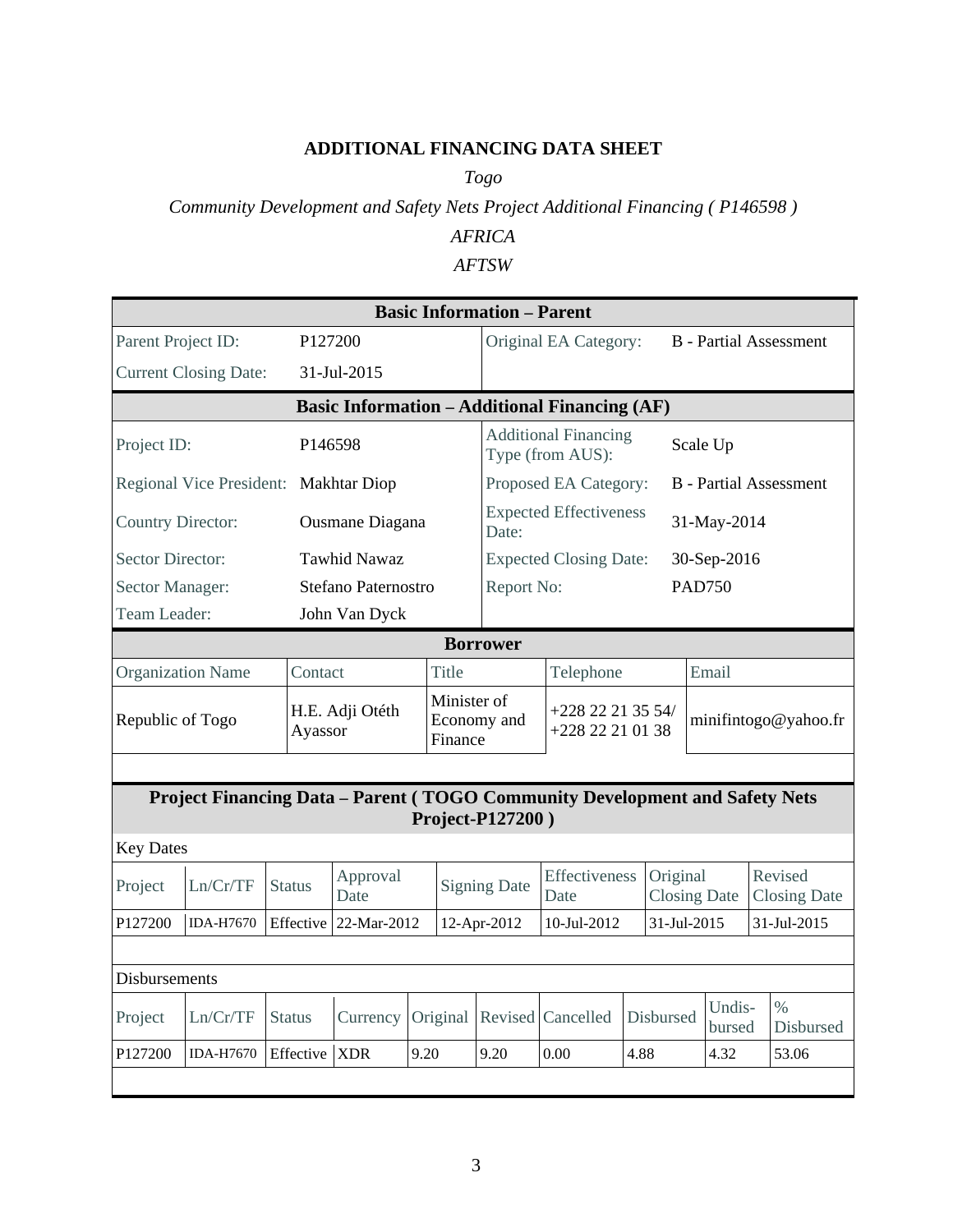# **ADDITIONAL FINANCING DATA SHEET**

*Togo*

# *Community Development and Safety Nets Project Additional Financing ( P146598 )*

# *AFRICA*

### *AFTSW*

|                                                      | <b>Basic Information - Parent</b>                                           |                     |                                                 |                                       |          |                     |                                                        |                                 |             |                      |  |                                |
|------------------------------------------------------|-----------------------------------------------------------------------------|---------------------|-------------------------------------------------|---------------------------------------|----------|---------------------|--------------------------------------------------------|---------------------------------|-------------|----------------------|--|--------------------------------|
| Parent Project ID:                                   |                                                                             | P <sub>127200</sub> |                                                 |                                       |          |                     | <b>B</b> - Partial Assessment<br>Original EA Category: |                                 |             |                      |  |                                |
|                                                      | <b>Current Closing Date:</b>                                                |                     | 31-Jul-2015                                     |                                       |          |                     |                                                        |                                 |             |                      |  |                                |
| <b>Basic Information - Additional Financing (AF)</b> |                                                                             |                     |                                                 |                                       |          |                     |                                                        |                                 |             |                      |  |                                |
|                                                      | Project ID:<br>P146598                                                      |                     | <b>Additional Financing</b><br>Type (from AUS): |                                       |          |                     | Scale Up                                               |                                 |             |                      |  |                                |
|                                                      | Regional Vice President: Makhtar Diop                                       |                     |                                                 |                                       |          |                     | Proposed EA Category:                                  |                                 |             |                      |  | <b>B</b> - Partial Assessment  |
| <b>Country Director:</b>                             |                                                                             |                     | Ousmane Diagana                                 |                                       |          | Date:               | <b>Expected Effectiveness</b>                          |                                 |             | 31-May-2014          |  |                                |
| <b>Sector Director:</b>                              |                                                                             |                     | <b>Tawhid Nawaz</b>                             |                                       |          |                     | <b>Expected Closing Date:</b>                          |                                 |             | 30-Sep-2016          |  |                                |
| Sector Manager:                                      |                                                                             |                     | <b>Stefano Paternostro</b>                      |                                       |          | Report No:          |                                                        |                                 |             | <b>PAD750</b>        |  |                                |
| Team Leader:                                         |                                                                             |                     | John Van Dyck                                   |                                       |          |                     |                                                        |                                 |             |                      |  |                                |
|                                                      | <b>Borrower</b>                                                             |                     |                                                 |                                       |          |                     |                                                        |                                 |             |                      |  |                                |
|                                                      | <b>Organization Name</b>                                                    | Contact             |                                                 |                                       | Title    |                     | Telephone                                              |                                 |             | Email                |  |                                |
| Republic of Togo                                     |                                                                             | Ayassor             | H.E. Adji Otéth                                 | Minister of<br>Economy and<br>Finance |          |                     | +228 22 21 35 54/<br>+228 22 21 01 38                  |                                 |             | minifintogo@yahoo.fr |  |                                |
|                                                      |                                                                             |                     |                                                 |                                       |          |                     |                                                        |                                 |             |                      |  |                                |
|                                                      | Project Financing Data - Parent (TOGO Community Development and Safety Nets |                     |                                                 |                                       |          | Project-P127200)    |                                                        |                                 |             |                      |  |                                |
| <b>Key Dates</b>                                     |                                                                             |                     |                                                 |                                       |          |                     |                                                        |                                 |             |                      |  |                                |
| Project                                              | Ln/Cr/TF                                                                    | <b>Status</b>       | Approval<br>Date                                |                                       |          | <b>Signing Date</b> | Effectiveness<br>Date                                  | Original<br><b>Closing Date</b> |             |                      |  | Revised<br><b>Closing Date</b> |
| P127200                                              | <b>IDA-H7670</b>                                                            |                     | Effective 22-Mar-2012                           |                                       |          | 12-Apr-2012         | 10-Jul-2012                                            |                                 | 31-Jul-2015 |                      |  | 31-Jul-2015                    |
|                                                      |                                                                             |                     |                                                 |                                       |          |                     |                                                        |                                 |             |                      |  |                                |
| <b>Disbursements</b>                                 |                                                                             |                     |                                                 |                                       |          |                     |                                                        |                                 |             |                      |  |                                |
| Project                                              | Ln/Cr/TF                                                                    | <b>Status</b>       | Currency                                        |                                       | Original |                     | Revised Cancelled                                      | Disbursed                       |             | Undis-<br>bursed     |  | $\frac{0}{0}$<br>Disbursed     |
| P127200                                              | <b>IDA-H7670</b>                                                            | Effective           | <b>XDR</b>                                      | 9.20                                  |          | 9.20                | 0.00                                                   | 4.88                            |             | 4.32                 |  | 53.06                          |
|                                                      |                                                                             |                     |                                                 |                                       |          |                     |                                                        |                                 |             |                      |  |                                |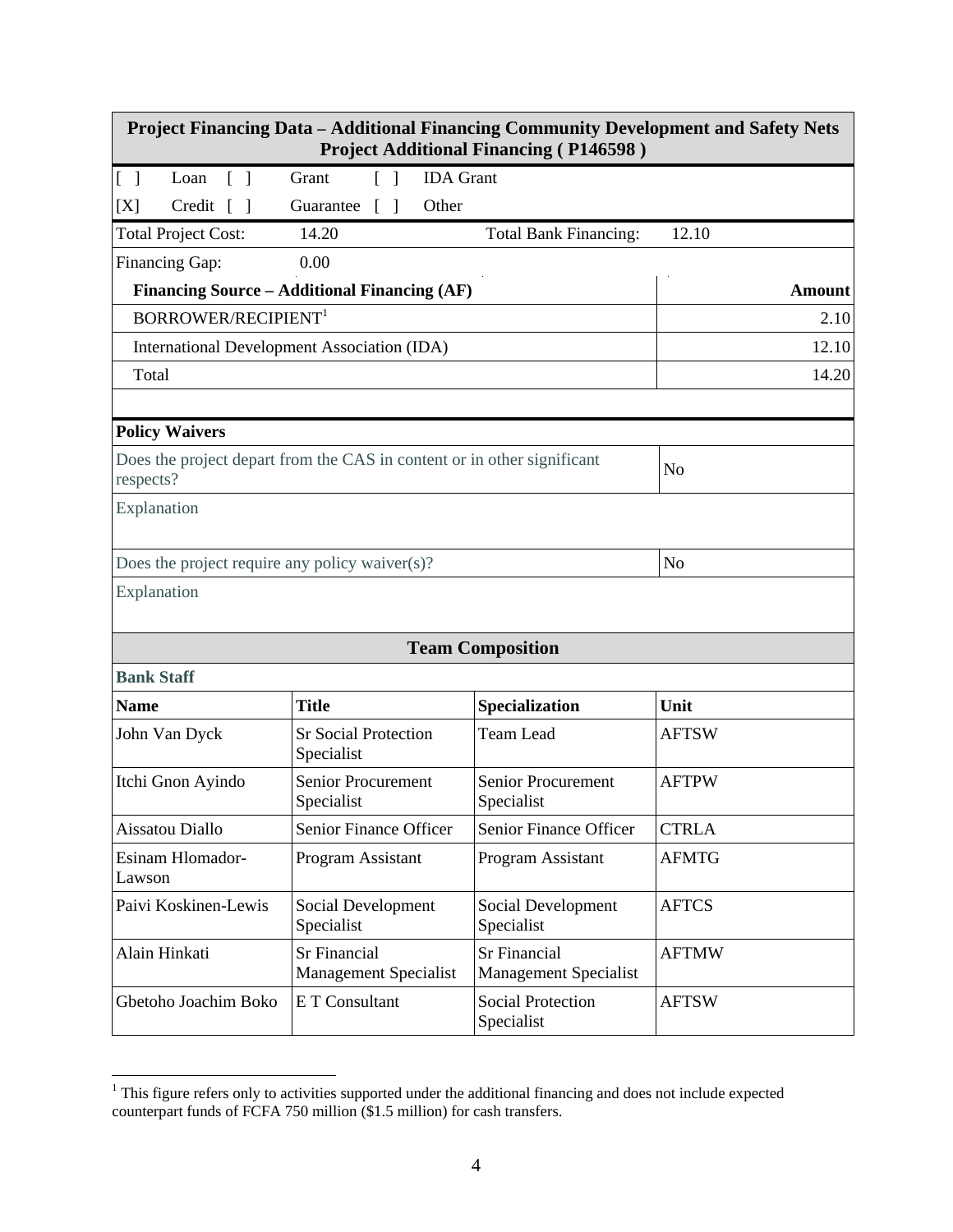| <b>Project Financing Data - Additional Financing Community Development and Safety Nets</b><br><b>Project Additional Financing (P146598)</b> |                                                                         |                                                     |               |  |  |  |  |
|---------------------------------------------------------------------------------------------------------------------------------------------|-------------------------------------------------------------------------|-----------------------------------------------------|---------------|--|--|--|--|
| $[\ ]$<br>Loan<br>$\Box$                                                                                                                    | <b>IDA</b> Grant<br>Grant<br>$\lceil \; \rceil$                         |                                                     |               |  |  |  |  |
| Credit $\lceil \; \rceil$<br>[X]                                                                                                            | Other<br>Guarantee<br>$\lceil$                                          |                                                     |               |  |  |  |  |
| <b>Total Project Cost:</b>                                                                                                                  | 14.20                                                                   | <b>Total Bank Financing:</b>                        | 12.10         |  |  |  |  |
| Financing Gap:                                                                                                                              | 0.00                                                                    |                                                     |               |  |  |  |  |
|                                                                                                                                             | Financing Source - Additional Financing (AF)                            |                                                     | <b>Amount</b> |  |  |  |  |
| <b>BORROWER/RECIPIENT<sup>1</sup></b>                                                                                                       |                                                                         |                                                     | 2.10          |  |  |  |  |
|                                                                                                                                             | International Development Association (IDA)                             |                                                     | 12.10         |  |  |  |  |
| Total                                                                                                                                       |                                                                         |                                                     | 14.20         |  |  |  |  |
|                                                                                                                                             |                                                                         |                                                     |               |  |  |  |  |
| <b>Policy Waivers</b>                                                                                                                       |                                                                         |                                                     |               |  |  |  |  |
| respects?                                                                                                                                   | Does the project depart from the CAS in content or in other significant |                                                     | No            |  |  |  |  |
| Explanation                                                                                                                                 |                                                                         |                                                     |               |  |  |  |  |
| Does the project require any policy waiver(s)?                                                                                              |                                                                         |                                                     | No            |  |  |  |  |
| Explanation                                                                                                                                 |                                                                         |                                                     |               |  |  |  |  |
|                                                                                                                                             |                                                                         | <b>Team Composition</b>                             |               |  |  |  |  |
| <b>Bank Staff</b>                                                                                                                           |                                                                         |                                                     |               |  |  |  |  |
| <b>Name</b>                                                                                                                                 | <b>Title</b>                                                            | Specialization                                      | Unit          |  |  |  |  |
| John Van Dyck                                                                                                                               | <b>Sr Social Protection</b><br>Specialist                               | <b>Team Lead</b>                                    | <b>AFTSW</b>  |  |  |  |  |
| Itchi Gnon Ayindo                                                                                                                           | <b>Senior Procurement</b><br>Specialist                                 | Senior Procurement<br>Specialist                    | <b>AFTPW</b>  |  |  |  |  |
| Aissatou Diallo                                                                                                                             | Senior Finance Officer                                                  | Senior Finance Officer                              | <b>CTRLA</b>  |  |  |  |  |
| Esinam Hlomador-<br>Lawson                                                                                                                  | Program Assistant                                                       | Program Assistant                                   | <b>AFMTG</b>  |  |  |  |  |
| Paivi Koskinen-Lewis                                                                                                                        | Social Development<br>Specialist                                        | Social Development<br>Specialist                    | <b>AFTCS</b>  |  |  |  |  |
| Alain Hinkati                                                                                                                               | <b>Sr Financial</b><br><b>Management Specialist</b>                     | <b>Sr Financial</b><br><b>Management Specialist</b> | <b>AFTMW</b>  |  |  |  |  |
| Gbetoho Joachim Boko                                                                                                                        | E T Consultant                                                          | <b>Social Protection</b><br>Specialist              | <b>AFTSW</b>  |  |  |  |  |

<sup>&</sup>lt;sup>1</sup> This figure refers only to activities supported under the additional financing and does not include expected counterpart funds of FCFA 750 million (\$1.5 million) for cash transfers.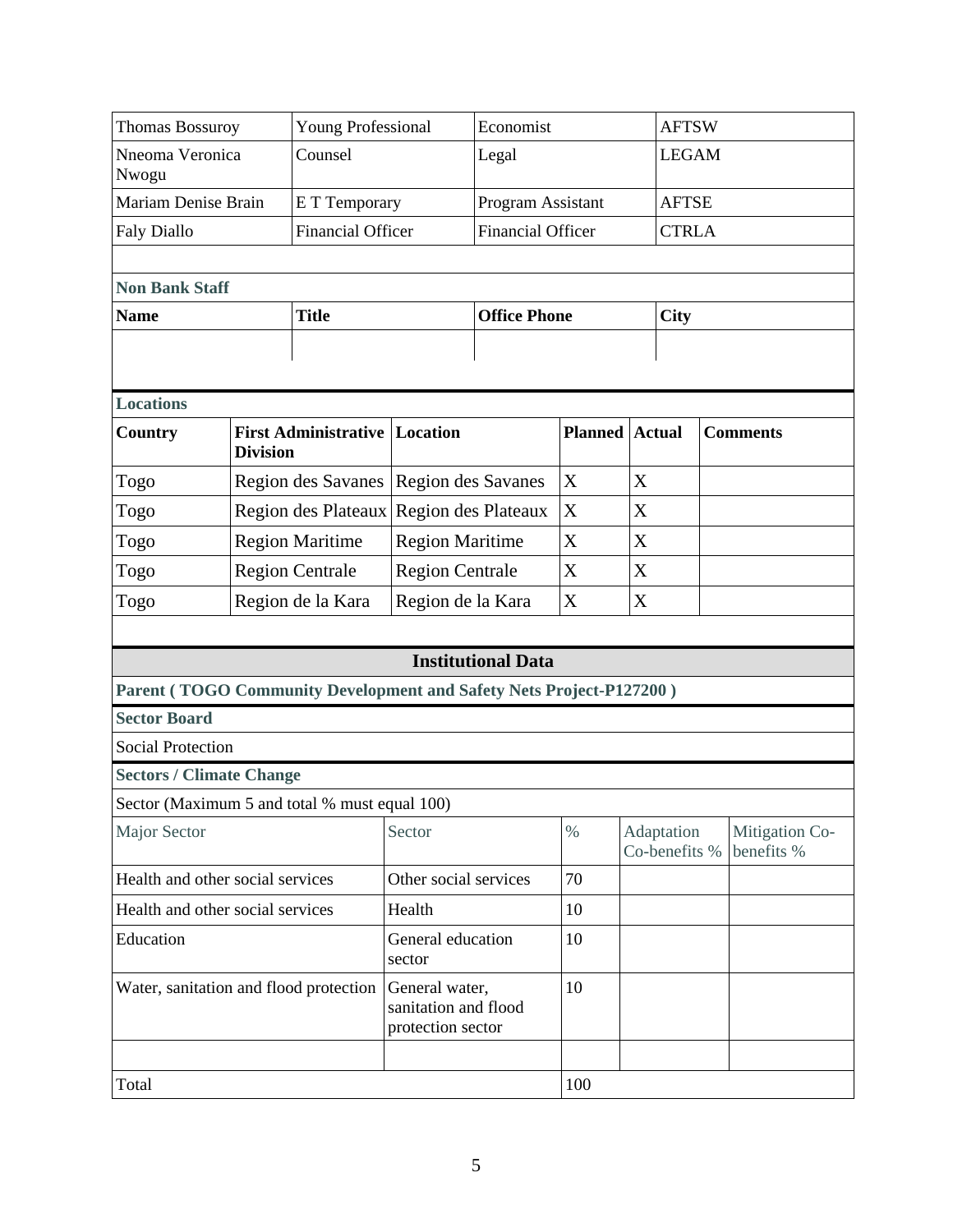| <b>Thomas Bossuroy</b>                                              |                 | <b>Young Professional</b>                                   |                             | Economist                 |                   |               | <b>AFTSW</b>                |                              |  |
|---------------------------------------------------------------------|-----------------|-------------------------------------------------------------|-----------------------------|---------------------------|-------------------|---------------|-----------------------------|------------------------------|--|
| Nneoma Veronica<br>Nwogu                                            |                 | Counsel                                                     |                             | Legal                     |                   |               | <b>LEGAM</b>                |                              |  |
| Mariam Denise Brain                                                 |                 |                                                             | E T Temporary               |                           | Program Assistant |               |                             |                              |  |
| <b>Faly Diallo</b>                                                  |                 | <b>Financial Officer</b>                                    |                             | <b>Financial Officer</b>  |                   |               | <b>CTRLA</b>                |                              |  |
|                                                                     |                 |                                                             |                             |                           |                   |               |                             |                              |  |
| <b>Non Bank Staff</b>                                               |                 |                                                             |                             |                           |                   |               |                             |                              |  |
| <b>Name</b>                                                         |                 | <b>Title</b>                                                |                             | <b>Office Phone</b>       |                   |               | <b>City</b>                 |                              |  |
|                                                                     |                 |                                                             |                             |                           |                   |               |                             |                              |  |
|                                                                     |                 |                                                             |                             |                           |                   |               |                             |                              |  |
| <b>Locations</b>                                                    |                 |                                                             |                             |                           |                   |               |                             |                              |  |
| <b>Country</b>                                                      | <b>Division</b> | <b>First Administrative</b>                                 | <b>Location</b>             |                           | <b>Planned</b>    | <b>Actual</b> |                             | <b>Comments</b>              |  |
| Togo                                                                |                 | <b>Region des Savanes</b>                                   | <b>Region des Savanes</b>   |                           | X                 | X             |                             |                              |  |
| Togo                                                                |                 | Region des Plateaux                                         | Region des Plateaux         |                           | X                 | X             |                             |                              |  |
| Togo                                                                |                 | <b>Region Maritime</b>                                      | <b>Region Maritime</b>      |                           | X                 | X             |                             |                              |  |
| Togo                                                                |                 | <b>Region Centrale</b>                                      | <b>Region Centrale</b>      |                           | X                 | X             |                             |                              |  |
| Togo                                                                |                 | Region de la Kara                                           | Region de la Kara           |                           | X                 | X             |                             |                              |  |
|                                                                     |                 |                                                             |                             |                           |                   |               |                             |                              |  |
|                                                                     |                 |                                                             |                             | <b>Institutional Data</b> |                   |               |                             |                              |  |
| Parent (TOGO Community Development and Safety Nets Project-P127200) |                 |                                                             |                             |                           |                   |               |                             |                              |  |
| <b>Sector Board</b>                                                 |                 |                                                             |                             |                           |                   |               |                             |                              |  |
| <b>Social Protection</b>                                            |                 |                                                             |                             |                           |                   |               |                             |                              |  |
| <b>Sectors / Climate Change</b>                                     |                 |                                                             |                             |                           |                   |               |                             |                              |  |
| Sector (Maximum 5 and total % must equal 100)                       |                 |                                                             |                             |                           |                   |               |                             |                              |  |
| <b>Major Sector</b>                                                 |                 |                                                             | Sector                      |                           | $\%$              |               | Adaptation<br>Co-benefits % | Mitigation Co-<br>benefits % |  |
| Health and other social services                                    |                 |                                                             | Other social services       |                           | 70                |               |                             |                              |  |
| Health and other social services                                    |                 |                                                             | Health                      |                           | 10                |               |                             |                              |  |
| Education                                                           |                 |                                                             | General education<br>sector |                           | 10                |               |                             |                              |  |
| Water, sanitation and flood protection                              |                 | General water,<br>sanitation and flood<br>protection sector |                             | 10                        |                   |               |                             |                              |  |
| Total                                                               |                 | 100                                                         |                             |                           |                   |               |                             |                              |  |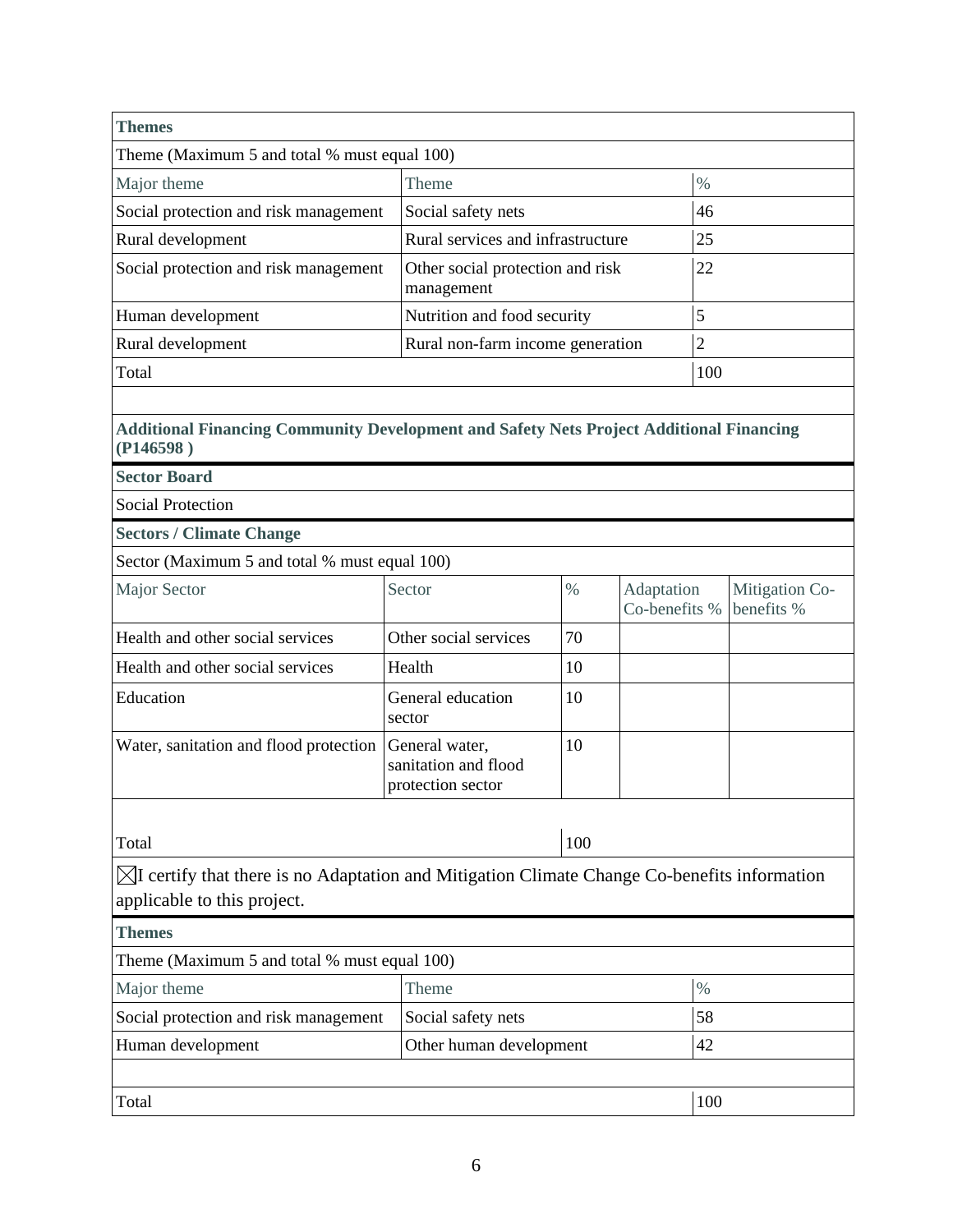| <b>Themes</b>                                                                                                                          |                                                             |      |     |                             |                |                              |  |  |
|----------------------------------------------------------------------------------------------------------------------------------------|-------------------------------------------------------------|------|-----|-----------------------------|----------------|------------------------------|--|--|
| Theme (Maximum 5 and total % must equal 100)                                                                                           |                                                             |      |     |                             |                |                              |  |  |
| Major theme                                                                                                                            | Theme                                                       |      |     |                             | $\%$           |                              |  |  |
| Social protection and risk management                                                                                                  | Social safety nets                                          |      |     |                             | 46             |                              |  |  |
| Rural development                                                                                                                      | Rural services and infrastructure                           |      |     |                             | 25             |                              |  |  |
| Social protection and risk management                                                                                                  | Other social protection and risk<br>management              |      |     |                             | 22             |                              |  |  |
| Human development                                                                                                                      | Nutrition and food security                                 |      |     |                             | 5              |                              |  |  |
| Rural development                                                                                                                      | Rural non-farm income generation                            |      |     |                             | $\overline{c}$ |                              |  |  |
| Total                                                                                                                                  |                                                             |      |     |                             | 100            |                              |  |  |
|                                                                                                                                        |                                                             |      |     |                             |                |                              |  |  |
| <b>Additional Financing Community Development and Safety Nets Project Additional Financing</b><br>(P146598)                            |                                                             |      |     |                             |                |                              |  |  |
| <b>Sector Board</b>                                                                                                                    |                                                             |      |     |                             |                |                              |  |  |
| <b>Social Protection</b>                                                                                                               |                                                             |      |     |                             |                |                              |  |  |
| <b>Sectors / Climate Change</b>                                                                                                        |                                                             |      |     |                             |                |                              |  |  |
| Sector (Maximum 5 and total % must equal 100)                                                                                          |                                                             |      |     |                             |                |                              |  |  |
| Major Sector                                                                                                                           | Sector                                                      | $\%$ |     | Adaptation<br>Co-benefits % |                | Mitigation Co-<br>benefits % |  |  |
| Health and other social services                                                                                                       | Other social services                                       |      | 70  |                             |                |                              |  |  |
| Health and other social services                                                                                                       | Health                                                      |      | 10  |                             |                |                              |  |  |
| Education                                                                                                                              | General education<br>sector                                 |      | 10  |                             |                |                              |  |  |
| Water, sanitation and flood protection                                                                                                 | General water,<br>sanitation and flood<br>protection sector |      | 10  |                             |                |                              |  |  |
|                                                                                                                                        |                                                             |      | 100 |                             |                |                              |  |  |
| Total                                                                                                                                  |                                                             |      |     |                             |                |                              |  |  |
| $\boxtimes$ I certify that there is no Adaptation and Mitigation Climate Change Co-benefits information<br>applicable to this project. |                                                             |      |     |                             |                |                              |  |  |
| <b>Themes</b>                                                                                                                          |                                                             |      |     |                             |                |                              |  |  |
| Theme (Maximum 5 and total % must equal 100)                                                                                           |                                                             |      |     |                             |                |                              |  |  |
| Major theme                                                                                                                            |                                                             |      |     |                             | $\%$           |                              |  |  |
| Social protection and risk management                                                                                                  | Social safety nets                                          |      |     |                             | 58             |                              |  |  |
| Human development                                                                                                                      | Other human development                                     |      |     |                             |                | 42                           |  |  |
| Total                                                                                                                                  |                                                             |      |     |                             | 100            |                              |  |  |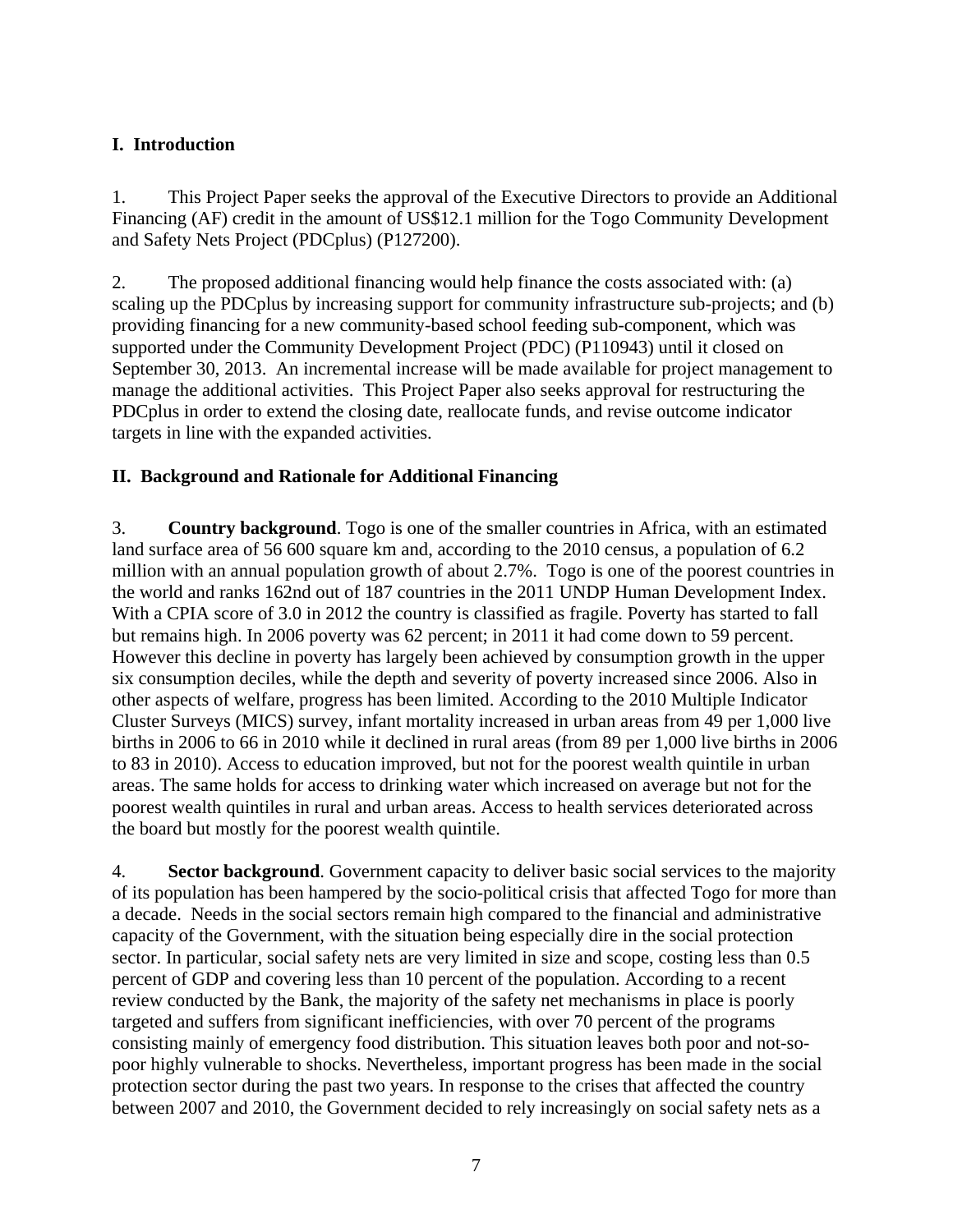# **I. Introduction**

1. This Project Paper seeks the approval of the Executive Directors to provide an Additional Financing (AF) credit in the amount of US\$12.1 million for the Togo Community Development and Safety Nets Project (PDCplus) (P127200).

2. The proposed additional financing would help finance the costs associated with: (a) scaling up the PDCplus by increasing support for community infrastructure sub-projects; and (b) providing financing for a new community-based school feeding sub-component, which was supported under the Community Development Project (PDC) (P110943) until it closed on September 30, 2013. An incremental increase will be made available for project management to manage the additional activities. This Project Paper also seeks approval for restructuring the PDCplus in order to extend the closing date, reallocate funds, and revise outcome indicator targets in line with the expanded activities.

# **II. Background and Rationale for Additional Financing**

3. **Country background**. Togo is one of the smaller countries in Africa, with an estimated land surface area of 56 600 square km and, according to the 2010 census, a population of 6.2 million with an annual population growth of about 2.7%. Togo is one of the poorest countries in the world and ranks 162nd out of 187 countries in the 2011 UNDP Human Development Index. With a CPIA score of 3.0 in 2012 the country is classified as fragile. Poverty has started to fall but remains high. In 2006 poverty was 62 percent; in 2011 it had come down to 59 percent. However this decline in poverty has largely been achieved by consumption growth in the upper six consumption deciles, while the depth and severity of poverty increased since 2006. Also in other aspects of welfare, progress has been limited. According to the 2010 Multiple Indicator Cluster Surveys (MICS) survey, infant mortality increased in urban areas from 49 per 1,000 live births in 2006 to 66 in 2010 while it declined in rural areas (from 89 per 1,000 live births in 2006 to 83 in 2010). Access to education improved, but not for the poorest wealth quintile in urban areas. The same holds for access to drinking water which increased on average but not for the poorest wealth quintiles in rural and urban areas. Access to health services deteriorated across the board but mostly for the poorest wealth quintile.

4. **Sector background**. Government capacity to deliver basic social services to the majority of its population has been hampered by the socio-political crisis that affected Togo for more than a decade. Needs in the social sectors remain high compared to the financial and administrative capacity of the Government, with the situation being especially dire in the social protection sector. In particular, social safety nets are very limited in size and scope, costing less than  $0.5$ percent of GDP and covering less than 10 percent of the population. According to a recent review conducted by the Bank, the majority of the safety net mechanisms in place is poorly targeted and suffers from significant inefficiencies, with over 70 percent of the programs consisting mainly of emergency food distribution. This situation leaves both poor and not-sopoor highly vulnerable to shocks. Nevertheless, important progress has been made in the social protection sector during the past two years. In response to the crises that affected the country between 2007 and 2010, the Government decided to rely increasingly on social safety nets as a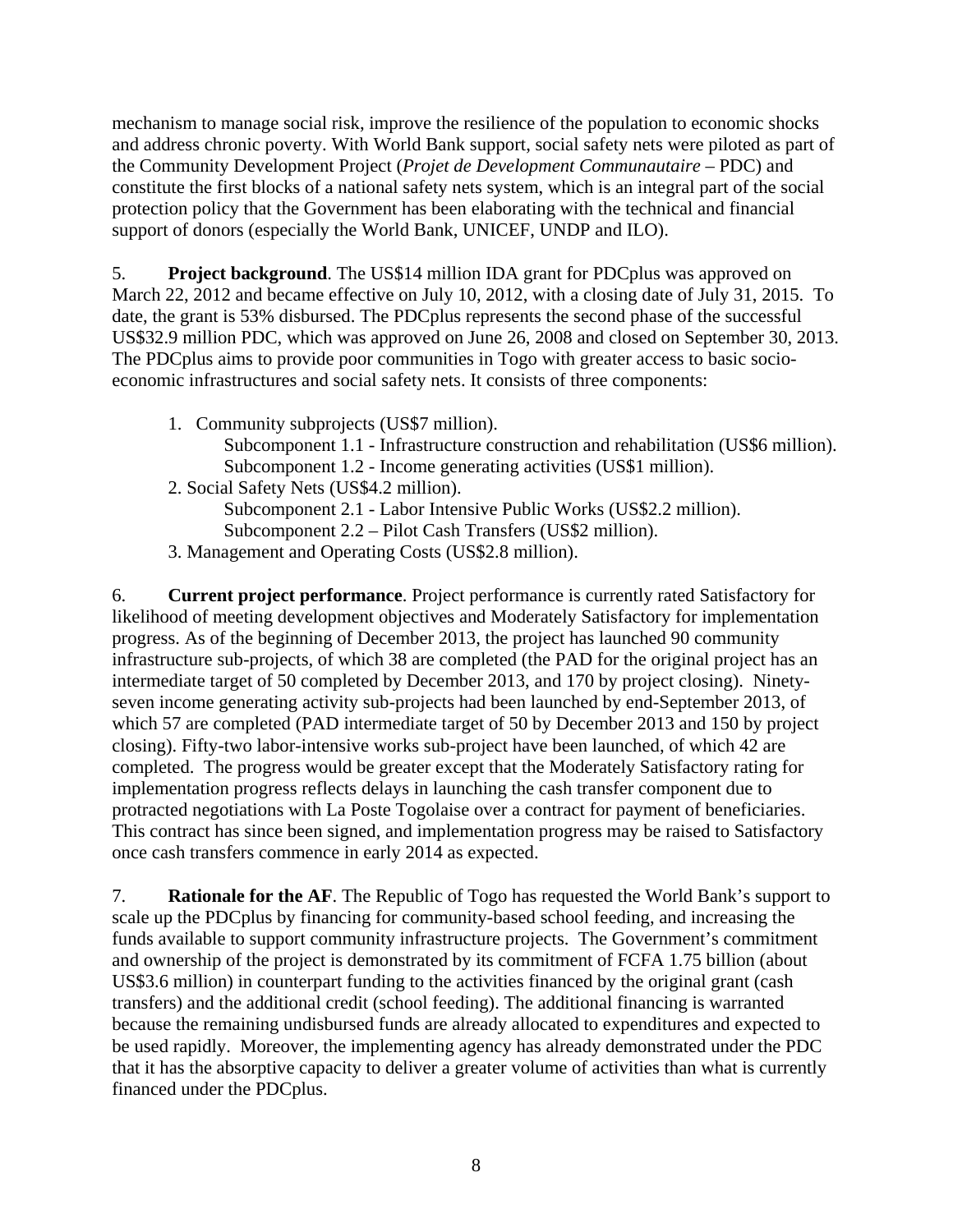mechanism to manage social risk, improve the resilience of the population to economic shocks and address chronic poverty. With World Bank support, social safety nets were piloted as part of the Community Development Project (*Projet de Development Communautaire* – PDC) and constitute the first blocks of a national safety nets system, which is an integral part of the social protection policy that the Government has been elaborating with the technical and financial support of donors (especially the World Bank, UNICEF, UNDP and ILO).

5. **Project background**. The US\$14 million IDA grant for PDCplus was approved on March 22, 2012 and became effective on July 10, 2012, with a closing date of July 31, 2015. To date, the grant is 53% disbursed. The PDCplus represents the second phase of the successful US\$32.9 million PDC, which was approved on June 26, 2008 and closed on September 30, 2013. The PDCplus aims to provide poor communities in Togo with greater access to basic socioeconomic infrastructures and social safety nets. It consists of three components:

- 1. Community subprojects (US\$7 million).
	- Subcomponent 1.1 Infrastructure construction and rehabilitation (US\$6 million). Subcomponent 1.2 - Income generating activities (US\$1 million).
- 2. Social Safety Nets (US\$4.2 million).
	- Subcomponent 2.1 Labor Intensive Public Works (US\$2.2 million). Subcomponent 2.2 – Pilot Cash Transfers (US\$2 million).
- 3. Management and Operating Costs (US\$2.8 million).

6. **Current project performance**. Project performance is currently rated Satisfactory for likelihood of meeting development objectives and Moderately Satisfactory for implementation progress. As of the beginning of December 2013, the project has launched 90 community infrastructure sub-projects, of which 38 are completed (the PAD for the original project has an intermediate target of 50 completed by December 2013, and 170 by project closing). Ninetyseven income generating activity sub-projects had been launched by end-September 2013, of which 57 are completed (PAD intermediate target of 50 by December 2013 and 150 by project closing). Fifty-two labor-intensive works sub-project have been launched, of which 42 are completed. The progress would be greater except that the Moderately Satisfactory rating for implementation progress reflects delays in launching the cash transfer component due to protracted negotiations with La Poste Togolaise over a contract for payment of beneficiaries. This contract has since been signed, and implementation progress may be raised to Satisfactory once cash transfers commence in early 2014 as expected.

7. **Rationale for the AF**. The Republic of Togo has requested the World Bank's support to scale up the PDCplus by financing for community-based school feeding, and increasing the funds available to support community infrastructure projects. The Government's commitment and ownership of the project is demonstrated by its commitment of FCFA 1.75 billion (about US\$3.6 million) in counterpart funding to the activities financed by the original grant (cash transfers) and the additional credit (school feeding). The additional financing is warranted because the remaining undisbursed funds are already allocated to expenditures and expected to be used rapidly. Moreover, the implementing agency has already demonstrated under the PDC that it has the absorptive capacity to deliver a greater volume of activities than what is currently financed under the PDCplus.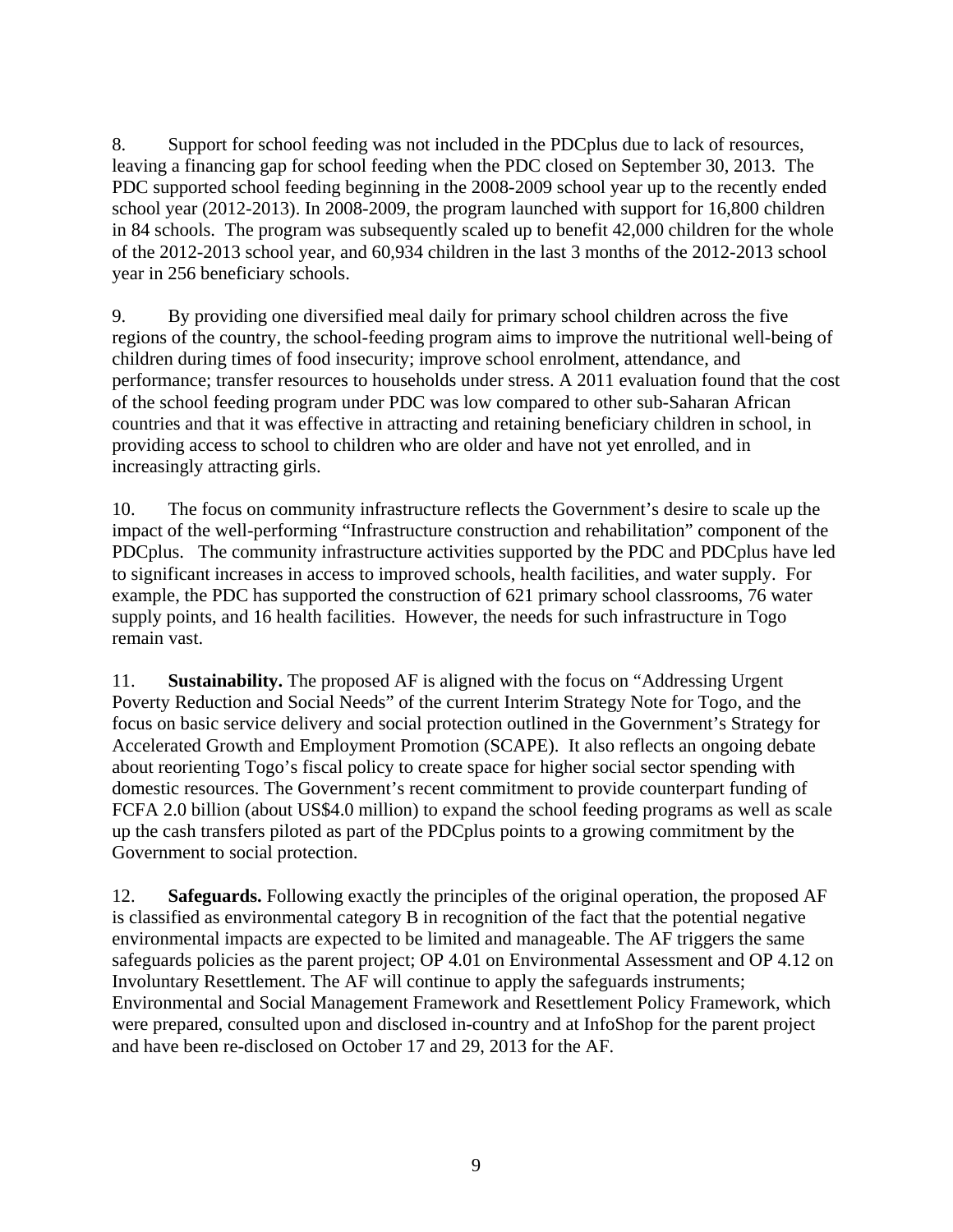8. Support for school feeding was not included in the PDCplus due to lack of resources, leaving a financing gap for school feeding when the PDC closed on September 30, 2013. The PDC supported school feeding beginning in the 2008-2009 school year up to the recently ended school year (2012-2013). In 2008-2009, the program launched with support for 16,800 children in 84 schools. The program was subsequently scaled up to benefit 42,000 children for the whole of the 2012-2013 school year, and 60,934 children in the last 3 months of the 2012-2013 school year in 256 beneficiary schools.

9. By providing one diversified meal daily for primary school children across the five regions of the country, the school-feeding program aims to improve the nutritional well-being of children during times of food insecurity; improve school enrolment, attendance, and performance; transfer resources to households under stress. A 2011 evaluation found that the cost of the school feeding program under PDC was low compared to other sub-Saharan African countries and that it was effective in attracting and retaining beneficiary children in school, in providing access to school to children who are older and have not yet enrolled, and in increasingly attracting girls.

10. The focus on community infrastructure reflects the Government's desire to scale up the impact of the well-performing "Infrastructure construction and rehabilitation" component of the PDCplus. The community infrastructure activities supported by the PDC and PDCplus have led to significant increases in access to improved schools, health facilities, and water supply. For example, the PDC has supported the construction of 621 primary school classrooms, 76 water supply points, and 16 health facilities. However, the needs for such infrastructure in Togo remain vast.

11. **Sustainability.** The proposed AF is aligned with the focus on "Addressing Urgent Poverty Reduction and Social Needs" of the current Interim Strategy Note for Togo, and the focus on basic service delivery and social protection outlined in the Government's Strategy for Accelerated Growth and Employment Promotion (SCAPE). It also reflects an ongoing debate about reorienting Togo's fiscal policy to create space for higher social sector spending with domestic resources. The Government's recent commitment to provide counterpart funding of FCFA 2.0 billion (about US\$4.0 million) to expand the school feeding programs as well as scale up the cash transfers piloted as part of the PDCplus points to a growing commitment by the Government to social protection.

12. **Safeguards.** Following exactly the principles of the original operation, the proposed AF is classified as environmental category B in recognition of the fact that the potential negative environmental impacts are expected to be limited and manageable. The AF triggers the same safeguards policies as the parent project; OP 4.01 on Environmental Assessment and OP 4.12 on Involuntary Resettlement. The AF will continue to apply the safeguards instruments; Environmental and Social Management Framework and Resettlement Policy Framework, which were prepared, consulted upon and disclosed in-country and at InfoShop for the parent project and have been re-disclosed on October 17 and 29, 2013 for the AF.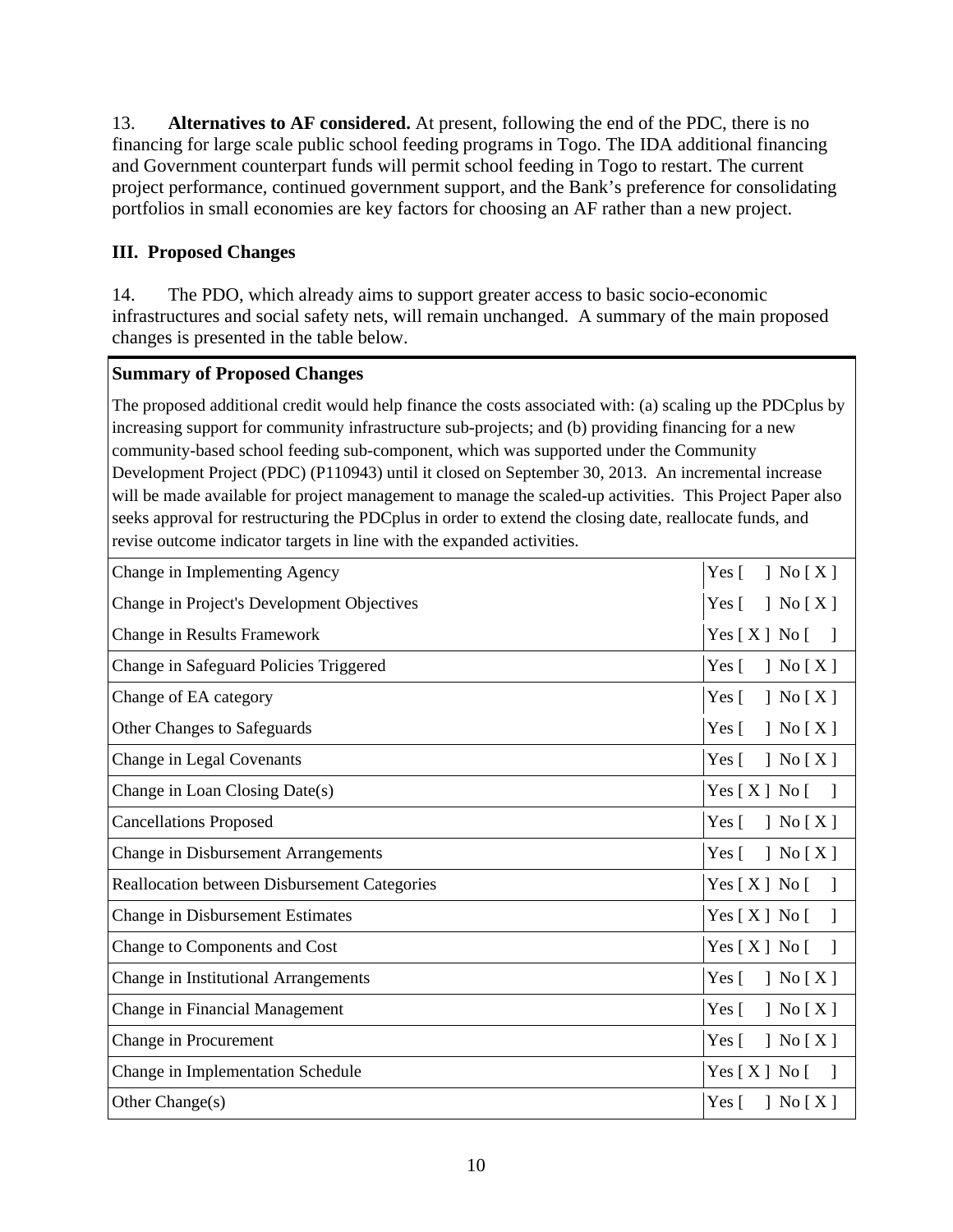13. **Alternatives to AF considered.** At present, following the end of the PDC, there is no financing for large scale public school feeding programs in Togo. The IDA additional financing and Government counterpart funds will permit school feeding in Togo to restart. The current project performance, continued government support, and the Bank's preference for consolidating portfolios in small economies are key factors for choosing an AF rather than a new project.

# **III. Proposed Changes**

14. The PDO, which already aims to support greater access to basic socio-economic infrastructures and social safety nets, will remain unchanged. A summary of the main proposed changes is presented in the table below.

## **Summary of Proposed Changes**

The proposed additional credit would help finance the costs associated with: (a) scaling up the PDCplus by increasing support for community infrastructure sub-projects; and (b) providing financing for a new community-based school feeding sub-component, which was supported under the Community Development Project (PDC) (P110943) until it closed on September 30, 2013. An incremental increase will be made available for project management to manage the scaled-up activities. This Project Paper also seeks approval for restructuring the PDCplus in order to extend the closing date, reallocate funds, and revise outcome indicator targets in line with the expanded activities.

| Change in Implementing Agency                       | $\vert$ No $\vert$ X $\vert$<br>Yes $\lceil$                                |
|-----------------------------------------------------|-----------------------------------------------------------------------------|
| Change in Project's Development Objectives          | ] No $[X]$<br>Yes $\lceil$                                                  |
| Change in Results Framework                         | Yes[X] No[                                                                  |
| Change in Safeguard Policies Triggered              | ] No $[X]$<br>Yes $\lceil$                                                  |
| Change of EA category                               | $\vert$ No $\vert$ X $\vert$<br>Yes $\lceil$                                |
| Other Changes to Safeguards                         | $\left\vert \right.$ No $\left[ X \right]$<br>Yes $\lceil$                  |
| Change in Legal Covenants                           | $\left\vert \right.$ No $\left[$ X $\right]$<br>Yes $\lceil$                |
| Change in Loan Closing Date(s)                      | Yes[X] No[                                                                  |
| <b>Cancellations Proposed</b>                       | ] No $[X]$<br>Yes $\lceil$                                                  |
| <b>Change in Disbursement Arrangements</b>          | $\exists$ No $[X]$<br>Yes $\lceil$                                          |
| <b>Reallocation between Disbursement Categories</b> | Yes[X] No[                                                                  |
| <b>Change in Disbursement Estimates</b>             | Yes [ X ] No [                                                              |
| Change to Components and Cost                       | $Yes[X] No[$ ]                                                              |
| Change in Institutional Arrangements                | ] No $[X]$<br>Yes $\lceil$                                                  |
| Change in Financial Management                      | $\left\vert \right.$ No $\left[ X \right]$<br>Yes $\lceil$                  |
| Change in Procurement                               | $\left\vert \right.$ No $\left[ \right.$ X $\left. \right]$<br>Yes $\lceil$ |
| Change in Implementation Schedule                   | Yes[X] No[                                                                  |
| Other Change(s)                                     | Yes $\lceil$<br>$\mid$ No $\mid$ X $\mid$                                   |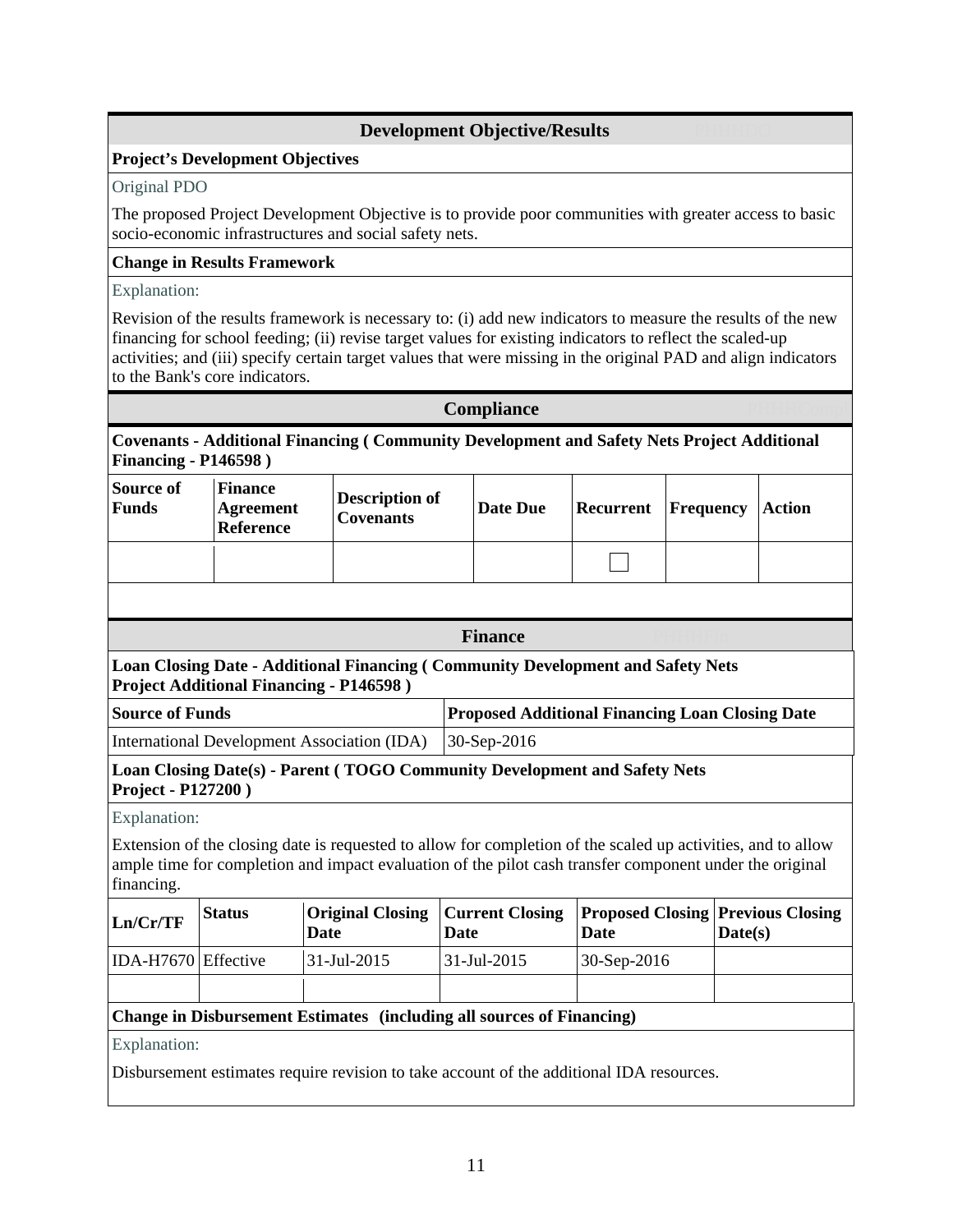### **Development Objective/Results**

#### **Project's Development Objectives**

#### Original PDO

The proposed Project Development Objective is to provide poor communities with greater access to basic socio-economic infrastructures and social safety nets.

#### **Change in Results Framework**

#### Explanation:

Revision of the results framework is necessary to: (i) add new indicators to measure the results of the new financing for school feeding; (ii) revise target values for existing indicators to reflect the scaled-up activities; and (iii) specify certain target values that were missing in the original PAD and align indicators to the Bank's core indicators.

|                                  |                                                        |                                                                                                                                                                                                                         | Compliance                                             |                                                         |                  |               |  |  |  |
|----------------------------------|--------------------------------------------------------|-------------------------------------------------------------------------------------------------------------------------------------------------------------------------------------------------------------------------|--------------------------------------------------------|---------------------------------------------------------|------------------|---------------|--|--|--|
| <b>Financing - P146598</b> )     |                                                        | Covenants - Additional Financing (Community Development and Safety Nets Project Additional                                                                                                                              |                                                        |                                                         |                  |               |  |  |  |
| <b>Source of</b><br><b>Funds</b> | <b>Finance</b><br><b>Agreement</b><br><b>Reference</b> | <b>Description of</b><br><b>Covenants</b>                                                                                                                                                                               | <b>Date Due</b>                                        | Recurrent                                               | <b>Frequency</b> | <b>Action</b> |  |  |  |
|                                  |                                                        |                                                                                                                                                                                                                         |                                                        |                                                         |                  |               |  |  |  |
|                                  |                                                        |                                                                                                                                                                                                                         |                                                        |                                                         |                  |               |  |  |  |
|                                  |                                                        |                                                                                                                                                                                                                         | <b>Finance</b>                                         |                                                         |                  |               |  |  |  |
|                                  |                                                        | Loan Closing Date - Additional Financing (Community Development and Safety Nets<br><b>Project Additional Financing - P146598</b> )                                                                                      |                                                        |                                                         |                  |               |  |  |  |
| <b>Source of Funds</b>           |                                                        |                                                                                                                                                                                                                         | <b>Proposed Additional Financing Loan Closing Date</b> |                                                         |                  |               |  |  |  |
|                                  |                                                        | <b>International Development Association (IDA)</b>                                                                                                                                                                      | 30-Sep-2016                                            |                                                         |                  |               |  |  |  |
| Project - P127200)               |                                                        | Loan Closing Date(s) - Parent (TOGO Community Development and Safety Nets                                                                                                                                               |                                                        |                                                         |                  |               |  |  |  |
| Explanation:                     |                                                        |                                                                                                                                                                                                                         |                                                        |                                                         |                  |               |  |  |  |
| financing.                       |                                                        | Extension of the closing date is requested to allow for completion of the scaled up activities, and to allow<br>ample time for completion and impact evaluation of the pilot cash transfer component under the original |                                                        |                                                         |                  |               |  |  |  |
| Ln/Cr/TF                         | <b>Status</b>                                          | <b>Original Closing</b><br><b>Date</b>                                                                                                                                                                                  | <b>Current Closing</b><br><b>Date</b>                  | <b>Proposed Closing Previous Closing</b><br><b>Date</b> | Date(s)          |               |  |  |  |
| IDA-H7670 Effective              |                                                        | 31-Jul-2015                                                                                                                                                                                                             | 31-Jul-2015                                            | 30-Sep-2016                                             |                  |               |  |  |  |
|                                  |                                                        |                                                                                                                                                                                                                         |                                                        |                                                         |                  |               |  |  |  |
|                                  |                                                        | <b>Change in Disbursement Estimates (including all sources of Financing)</b>                                                                                                                                            |                                                        |                                                         |                  |               |  |  |  |
| Explanation:                     |                                                        |                                                                                                                                                                                                                         |                                                        |                                                         |                  |               |  |  |  |
|                                  |                                                        | Disbursement estimates require revision to take account of the additional IDA resources.                                                                                                                                |                                                        |                                                         |                  |               |  |  |  |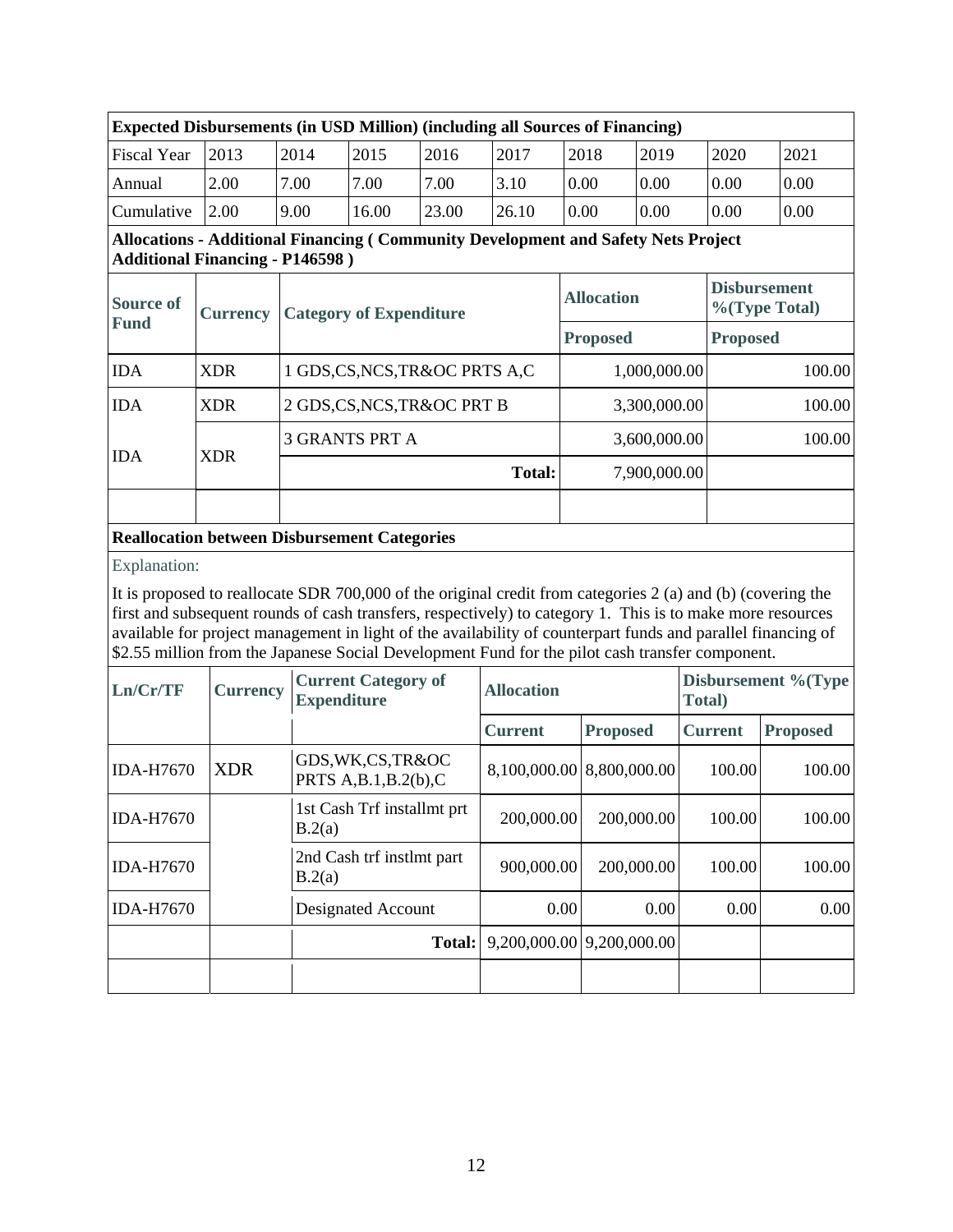| $\mu_{\rm H}$ and $\mu_{\rm H}$ are $\mu_{\rm H}$ (in $\sigma_{\rm H}$ ) in $\mu_{\rm H}$ (including an over $\sigma_{\rm H}$ intendent |      |      |       |       |       |      |      |      |      |
|-----------------------------------------------------------------------------------------------------------------------------------------|------|------|-------|-------|-------|------|------|------|------|
| <b>Fiscal Year</b>                                                                                                                      | 2013 | 2014 | 2015  | 2016  | 2017  | 2018 | 2019 | 2020 | 2021 |
| Annual                                                                                                                                  | 2.00 | 7.00 | 7.00  | 7.00  | 3.10  | 0.00 | 0.00 | 0.00 | 0.00 |
| Cumulative                                                                                                                              | 2.00 | 9.00 | 16.00 | 23.00 | 26.10 | 0.00 | 0.00 | 0.00 | 0.00 |

# **Expected Disbursements (in USD Million) (including all Sources of Financing)**

### **Allocations - Additional Financing ( Community Development and Safety Nets Project Additional Financing - P146598 )**

| <b>Source of</b> | <b>Currency</b> | <b>Category of Expenditure</b>                      | <b>Allocation</b> | <b>Disbursement</b><br>$\%$ (Type Total) |  |
|------------------|-----------------|-----------------------------------------------------|-------------------|------------------------------------------|--|
| <b>Fund</b>      |                 |                                                     | <b>Proposed</b>   | <b>Proposed</b>                          |  |
| <b>IDA</b>       | <b>XDR</b>      | 1 GDS, CS, NCS, TR&OC PRTS A, C                     | 1,000,000.00      | 100.00                                   |  |
| <b>IDA</b>       | <b>XDR</b>      | 2 GDS, CS, NCS, TR&OC PRT B                         | 3,300,000.00      | 100.00                                   |  |
| <b>IDA</b>       |                 | <b>3 GRANTS PRT A</b>                               | 3,600,000.00      | 100.00                                   |  |
|                  | <b>XDR</b>      | <b>Total:</b>                                       | 7,900,000.00      |                                          |  |
|                  |                 |                                                     |                   |                                          |  |
|                  |                 | <b>Reallocation between Disbursement Categories</b> |                   |                                          |  |

#### Explanation:

It is proposed to reallocate SDR 700,000 of the original credit from categories 2 (a) and (b) (covering the first and subsequent rounds of cash transfers, respectively) to category 1. This is to make more resources available for project management in light of the availability of counterpart funds and parallel financing of \$2.55 million from the Japanese Social Development Fund for the pilot cash transfer component.

| Ln/Cr/TF         | <b>Currency</b> | <b>Current Category of</b><br><b>Expenditure</b> | <b>Allocation</b>                                        |                           | Disbursement %(Type)<br>Total) |                 |  |
|------------------|-----------------|--------------------------------------------------|----------------------------------------------------------|---------------------------|--------------------------------|-----------------|--|
|                  |                 |                                                  | <b>Current</b>                                           | <b>Proposed</b>           | <b>Current</b>                 | <b>Proposed</b> |  |
| <b>IDA-H7670</b> | <b>XDR</b>      | GDS, WK, CS, TR&OC<br>PRTS $A,B.1,B.2(b)$ , C    |                                                          | 8,100,000.00 8,800,000.00 | 100.00                         | 100.00          |  |
| <b>IDA-H7670</b> |                 | 1st Cash Trf installmt prt<br>B.2(a)             | 200,000.00                                               | 200,000.00                | 100.00                         | 100.00          |  |
| <b>IDA-H7670</b> |                 | 2nd Cash trf instlmt part<br>B.2(a)              | 900,000.00                                               | 200,000.00                | 100.00                         | 100.00          |  |
| <b>IDA-H7670</b> |                 | Designated Account                               | 0.00                                                     | 0.00                      | 0.00                           | 0.00            |  |
|                  |                 |                                                  | <b>Total:</b> $\left  9,200,000.00 \right  9,200,000.00$ |                           |                                |                 |  |
|                  |                 |                                                  |                                                          |                           |                                |                 |  |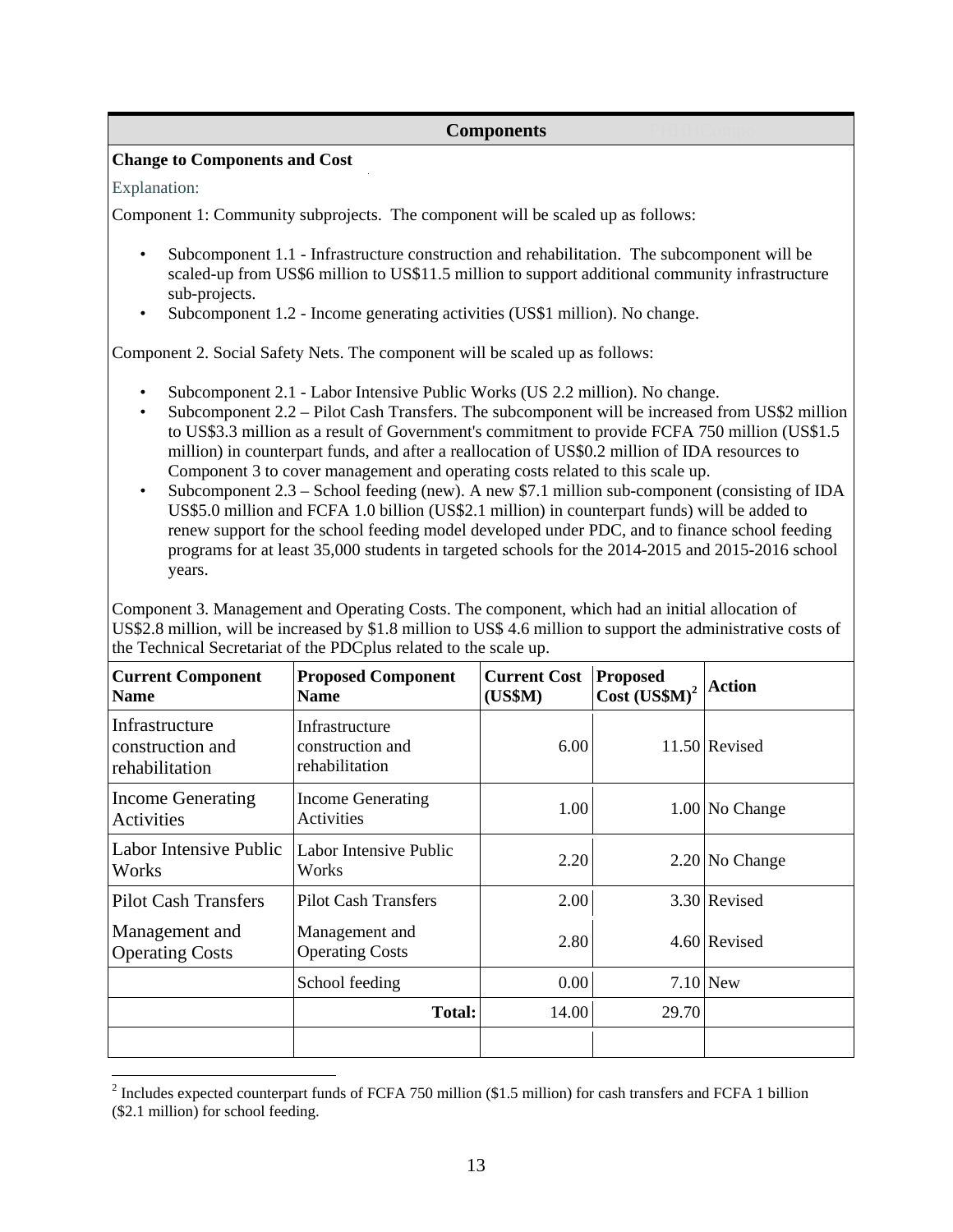#### **Components**

#### **Change to Components and Cost**

#### Explanation:

Component 1: Community subprojects. The component will be scaled up as follows:

- Subcomponent 1.1 Infrastructure construction and rehabilitation. The subcomponent will be scaled-up from US\$6 million to US\$11.5 million to support additional community infrastructure sub-projects.
- Subcomponent 1.2 Income generating activities (US\$1 million). No change.

Component 2. Social Safety Nets. The component will be scaled up as follows:

- Subcomponent 2.1 Labor Intensive Public Works (US 2.2 million). No change.
- Subcomponent 2.2 Pilot Cash Transfers. The subcomponent will be increased from US\$2 million to US\$3.3 million as a result of Government's commitment to provide FCFA 750 million (US\$1.5 million) in counterpart funds, and after a reallocation of US\$0.2 million of IDA resources to Component 3 to cover management and operating costs related to this scale up.
- Subcomponent 2.3 School feeding (new). A new \$7.1 million sub-component (consisting of IDA US\$5.0 million and FCFA 1.0 billion (US\$2.1 million) in counterpart funds) will be added to renew support for the school feeding model developed under PDC, and to finance school feeding programs for at least 35,000 students in targeted schools for the 2014-2015 and 2015-2016 school years.

Component 3. Management and Operating Costs. The component, which had an initial allocation of US\$2.8 million, will be increased by \$1.8 million to US\$ 4.6 million to support the administrative costs of the Technical Secretariat of the PDCplus related to the scale up.

| <b>Current Component</b><br><b>Name</b>              | <b>Proposed Component</b><br><b>Name</b>             | <b>Current Cost</b><br>(US\$M) | <b>Proposed</b><br>Cost (USSM) <sup>2</sup> | <b>Action</b>    |
|------------------------------------------------------|------------------------------------------------------|--------------------------------|---------------------------------------------|------------------|
| Infrastructure<br>construction and<br>rehabilitation | Infrastructure<br>construction and<br>rehabilitation | 6.00                           |                                             | 11.50 Revised    |
| <b>Income Generating</b><br>Activities               | <b>Income Generating</b><br>Activities               | 1.00                           |                                             | 1.00 No Change   |
| Labor Intensive Public<br>Works                      | Labor Intensive Public<br>Works                      | 2.20                           |                                             | $2.20$ No Change |
| <b>Pilot Cash Transfers</b>                          | <b>Pilot Cash Transfers</b>                          | 2.00                           |                                             | 3.30 Revised     |
| Management and<br><b>Operating Costs</b>             | Management and<br><b>Operating Costs</b>             | 2.80                           |                                             | 4.60 Revised     |
|                                                      | School feeding                                       | 0.00                           |                                             | $7.10$ New       |
|                                                      | <b>Total:</b>                                        | 14.00                          | 29.70                                       |                  |
|                                                      |                                                      |                                |                                             |                  |

<sup>&</sup>lt;sup>2</sup> Includes expected counterpart funds of FCFA 750 million (\$1.5 million) for cash transfers and FCFA 1 billion (\$2.1 million) for school feeding.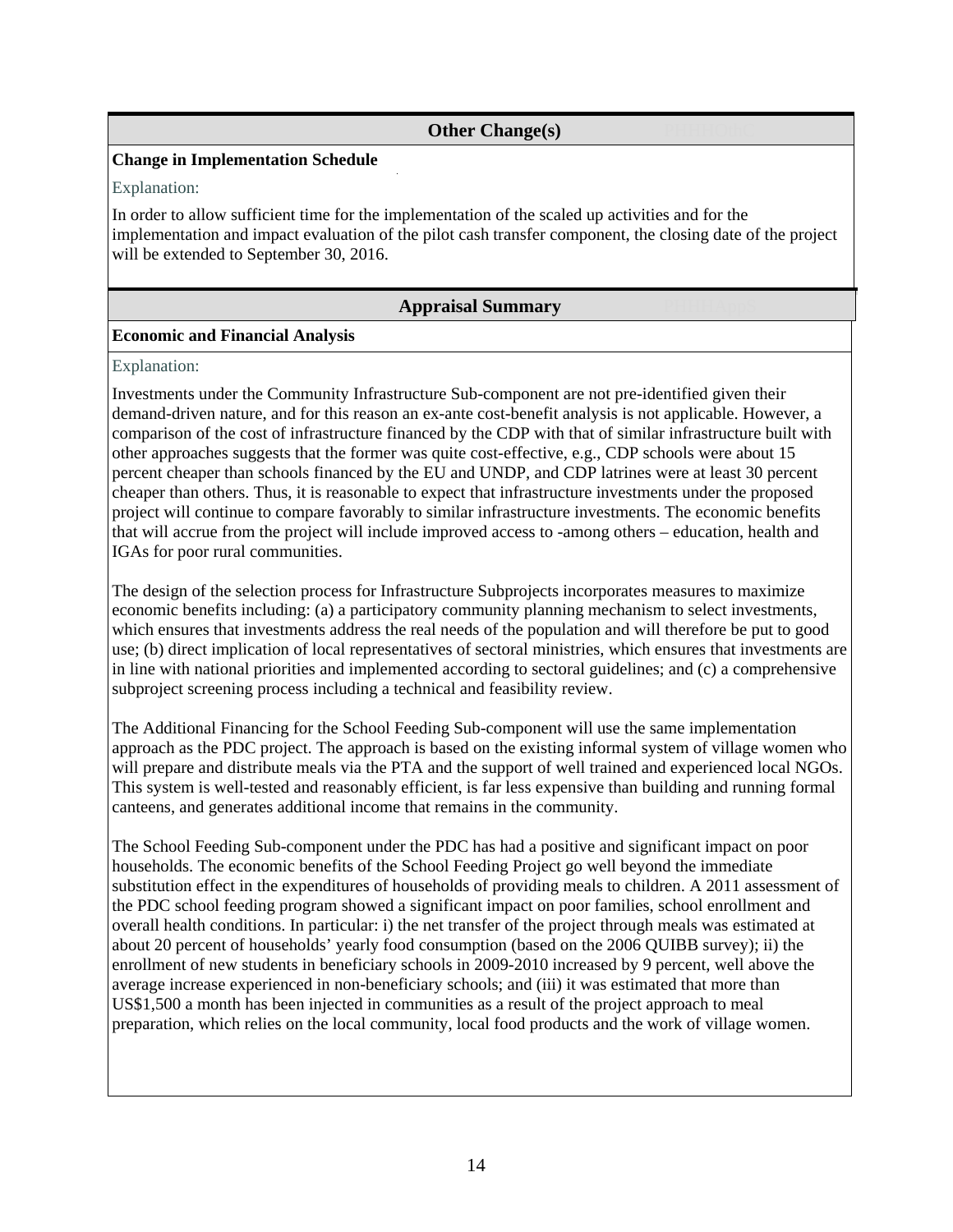### **Other Change(s)**

#### **Change in Implementation Schedule**

Explanation:

In order to allow sufficient time for the implementation of the scaled up activities and for the implementation and impact evaluation of the pilot cash transfer component, the closing date of the project will be extended to September 30, 2016.

#### **Appraisal Summary**

#### **Economic and Financial Analysis**

Explanation:

Investments under the Community Infrastructure Sub-component are not pre-identified given their demand-driven nature, and for this reason an ex-ante cost-benefit analysis is not applicable. However, a comparison of the cost of infrastructure financed by the CDP with that of similar infrastructure built with other approaches suggests that the former was quite cost-effective, e.g., CDP schools were about 15 percent cheaper than schools financed by the EU and UNDP, and CDP latrines were at least 30 percent cheaper than others. Thus, it is reasonable to expect that infrastructure investments under the proposed project will continue to compare favorably to similar infrastructure investments. The economic benefits that will accrue from the project will include improved access to -among others – education, health and IGAs for poor rural communities.

The design of the selection process for Infrastructure Subprojects incorporates measures to maximize economic benefits including: (a) a participatory community planning mechanism to select investments, which ensures that investments address the real needs of the population and will therefore be put to good use; (b) direct implication of local representatives of sectoral ministries, which ensures that investments are in line with national priorities and implemented according to sectoral guidelines; and (c) a comprehensive subproject screening process including a technical and feasibility review.

The Additional Financing for the School Feeding Sub-component will use the same implementation approach as the PDC project. The approach is based on the existing informal system of village women who will prepare and distribute meals via the PTA and the support of well trained and experienced local NGOs. This system is well-tested and reasonably efficient, is far less expensive than building and running formal canteens, and generates additional income that remains in the community.

The School Feeding Sub-component under the PDC has had a positive and significant impact on poor households. The economic benefits of the School Feeding Project go well beyond the immediate substitution effect in the expenditures of households of providing meals to children. A 2011 assessment of the PDC school feeding program showed a significant impact on poor families, school enrollment and overall health conditions. In particular: i) the net transfer of the project through meals was estimated at about 20 percent of households' yearly food consumption (based on the 2006 QUIBB survey); ii) the enrollment of new students in beneficiary schools in 2009-2010 increased by 9 percent, well above the average increase experienced in non-beneficiary schools; and (iii) it was estimated that more than US\$1,500 a month has been injected in communities as a result of the project approach to meal preparation, which relies on the local community, local food products and the work of village women.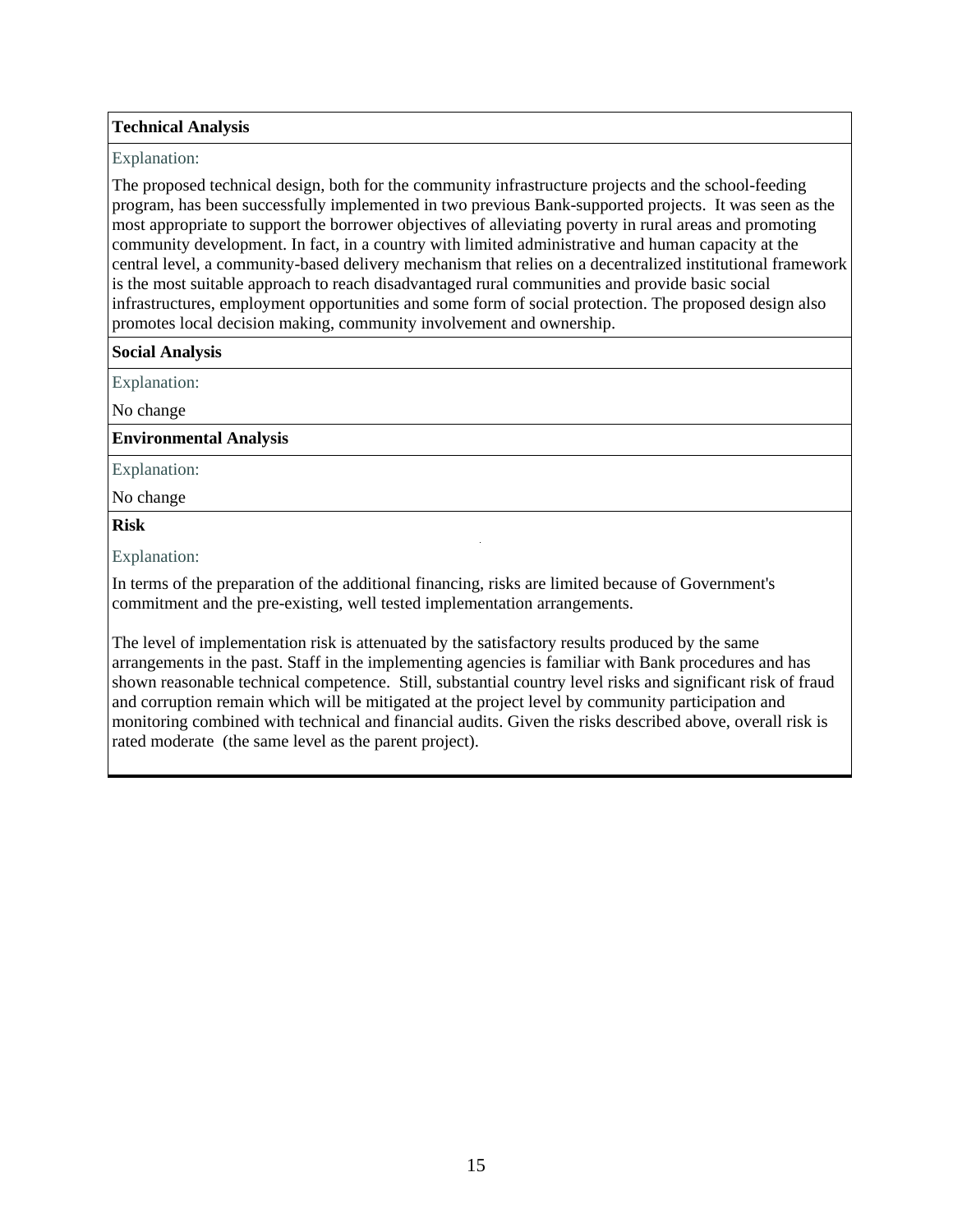### **Technical Analysis**

#### Explanation:

The proposed technical design, both for the community infrastructure projects and the school-feeding program, has been successfully implemented in two previous Bank-supported projects. It was seen as the most appropriate to support the borrower objectives of alleviating poverty in rural areas and promoting community development. In fact, in a country with limited administrative and human capacity at the central level, a community-based delivery mechanism that relies on a decentralized institutional framework is the most suitable approach to reach disadvantaged rural communities and provide basic social infrastructures, employment opportunities and some form of social protection. The proposed design also promotes local decision making, community involvement and ownership.

#### **Social Analysis**

Explanation:

No change

**Environmental Analysis** 

Explanation:

No change

#### **Risk** PHHASRISK **PHHASE**

Explanation:

In terms of the preparation of the additional financing, risks are limited because of Government's commitment and the pre-existing, well tested implementation arrangements.

The level of implementation risk is attenuated by the satisfactory results produced by the same arrangements in the past. Staff in the implementing agencies is familiar with Bank procedures and has shown reasonable technical competence. Still, substantial country level risks and significant risk of fraud and corruption remain which will be mitigated at the project level by community participation and monitoring combined with technical and financial audits. Given the risks described above, overall risk is rated moderate (the same level as the parent project).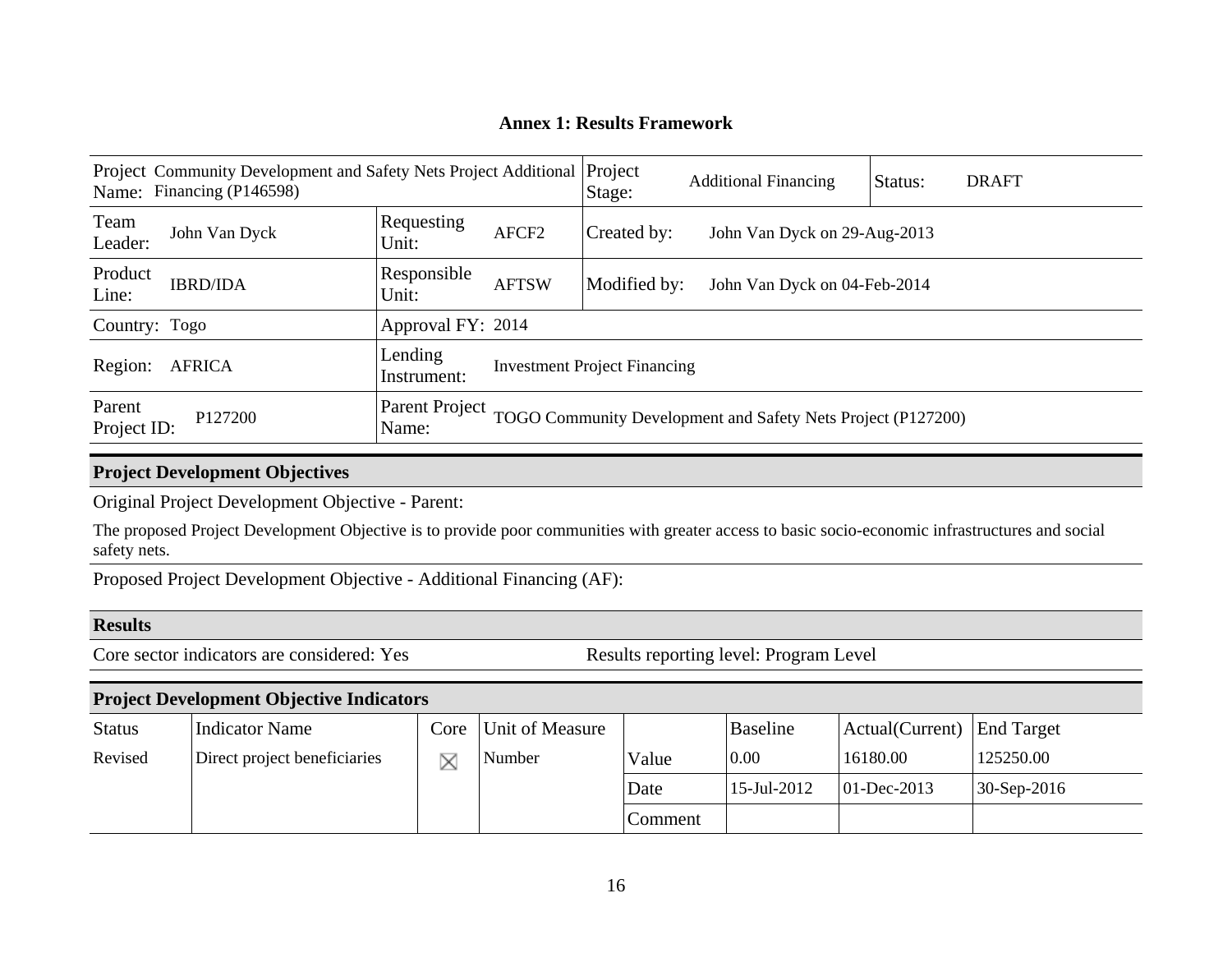# **Annex 1: Results Framework**

| Project Community Development and Safety Nets Project Additional Project<br>Name: Financing (P146598) |                 |                         |                   | Stage:                              | <b>Additional Financing</b>                                  | Status: | <b>DRAFT</b> |
|-------------------------------------------------------------------------------------------------------|-----------------|-------------------------|-------------------|-------------------------------------|--------------------------------------------------------------|---------|--------------|
| Team<br>Leader:                                                                                       | John Van Dyck   | Requesting<br>Unit:     | AFCF <sub>2</sub> | Created by:                         | John Van Dyck on 29-Aug-2013                                 |         |              |
| Product<br>Line:                                                                                      | <b>IBRD/IDA</b> | Responsible<br>Unit:    | <b>AFTSW</b>      | Modified by:                        | John Van Dyck on 04-Feb-2014                                 |         |              |
| Country: Togo                                                                                         |                 | Approval FY: 2014       |                   |                                     |                                                              |         |              |
| Region:<br><b>AFRICA</b>                                                                              |                 | Lending<br>Instrument:  |                   | <b>Investment Project Financing</b> |                                                              |         |              |
| Parent<br>Project ID:                                                                                 | P127200         | Parent Project<br>Name: |                   |                                     | TOGO Community Development and Safety Nets Project (P127200) |         |              |

# **Project Development Objectives**

Original Project Development Objective - Parent:

The proposed Project Development Objective is to provide poor communities with greater access to basic socio-economic infrastructures and social safety nets.

Proposed Project Development Objective - Additional Financing (AF):

### **Results**

Core sector indicators are considered: Yes Results reporting level: Program Level

## **Project Development Objective Indicators**

| <b>Status</b> | Indicator Name               | Core Unit of Measure |         | <b>Baseline</b> | Actual(Current) End Target |               |
|---------------|------------------------------|----------------------|---------|-----------------|----------------------------|---------------|
| Revised       | Direct project beneficiaries | <b>Number</b>        | Value   | 0.00            | 16180.00                   | 125250.00     |
|               |                              |                      | Date    | 15-Jul-2012     | $ 01 - Dec - 2013 $        | $30-Sep-2016$ |
|               |                              |                      | Comment |                 |                            |               |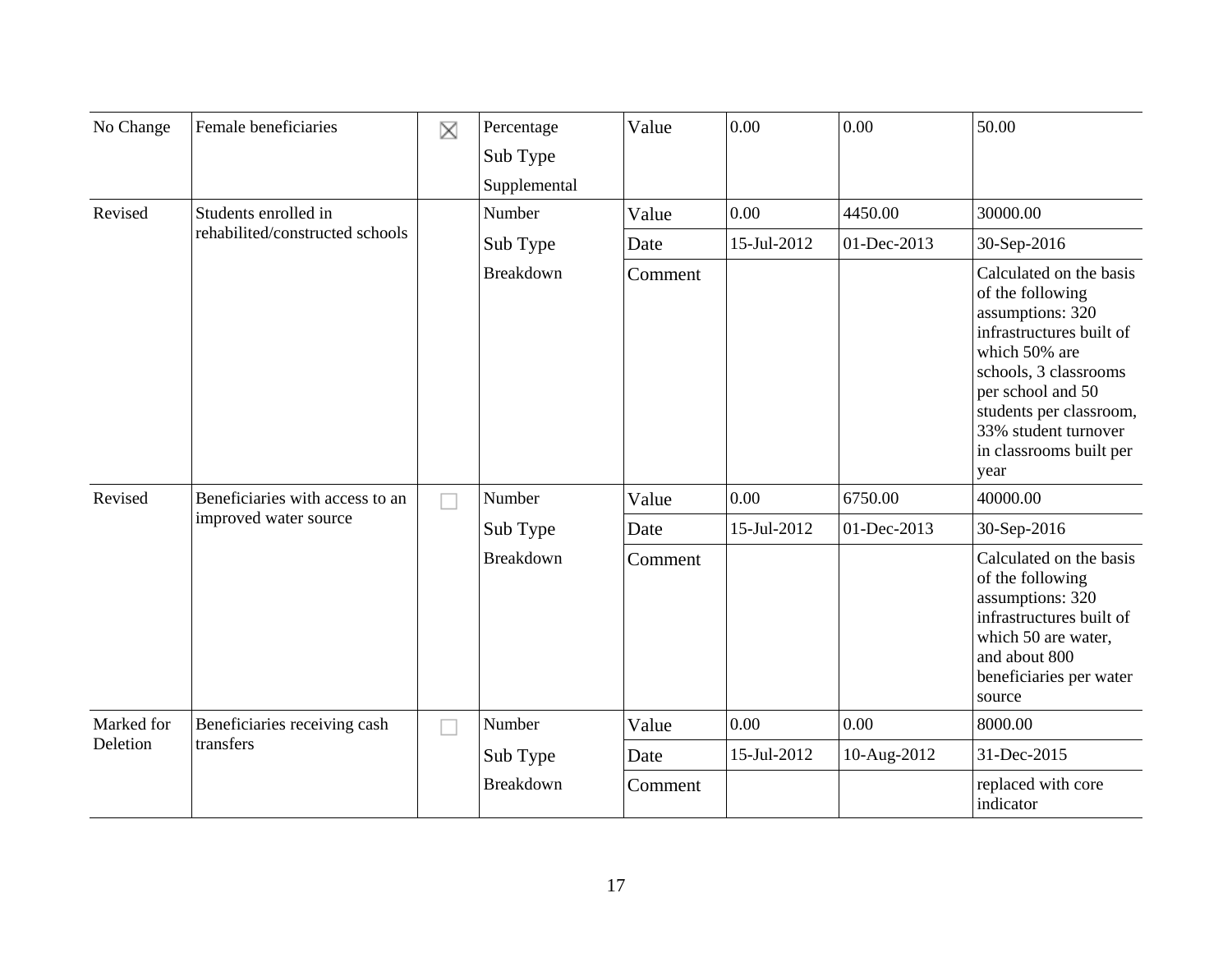| No Change  | Female beneficiaries                                     | X         | Percentage<br>Sub Type<br>Supplemental | Value   | 0.00        | 0.00                                                                                                                                                                                                                                             | 50.00                                                                                                                                                                    |
|------------|----------------------------------------------------------|-----------|----------------------------------------|---------|-------------|--------------------------------------------------------------------------------------------------------------------------------------------------------------------------------------------------------------------------------------------------|--------------------------------------------------------------------------------------------------------------------------------------------------------------------------|
| Revised    | Students enrolled in                                     |           | Number                                 | Value   | 0.00        | 4450.00                                                                                                                                                                                                                                          | 30000.00                                                                                                                                                                 |
|            | rehabilited/constructed schools                          |           | Sub Type                               | Date    | 15-Jul-2012 | 01-Dec-2013                                                                                                                                                                                                                                      | 30-Sep-2016                                                                                                                                                              |
|            |                                                          | Breakdown | Comment                                |         |             | Calculated on the basis<br>of the following<br>assumptions: 320<br>infrastructures built of<br>which 50% are<br>schools, 3 classrooms<br>per school and 50<br>students per classroom,<br>33% student turnover<br>in classrooms built per<br>year |                                                                                                                                                                          |
| Revised    | Beneficiaries with access to an<br>improved water source |           | Number                                 | Value   | 0.00        | 6750.00                                                                                                                                                                                                                                          | 40000.00                                                                                                                                                                 |
|            |                                                          |           | Sub Type                               | Date    | 15-Jul-2012 | 01-Dec-2013                                                                                                                                                                                                                                      | 30-Sep-2016                                                                                                                                                              |
|            |                                                          |           | Breakdown                              | Comment |             |                                                                                                                                                                                                                                                  | Calculated on the basis<br>of the following<br>assumptions: 320<br>infrastructures built of<br>which 50 are water,<br>and about 800<br>beneficiaries per water<br>source |
| Marked for | Beneficiaries receiving cash                             | J.        | Number                                 | Value   | 0.00        | 0.00                                                                                                                                                                                                                                             | 8000.00                                                                                                                                                                  |
| Deletion   | transfers                                                |           | Sub Type                               | Date    | 15-Jul-2012 | 10-Aug-2012                                                                                                                                                                                                                                      | 31-Dec-2015                                                                                                                                                              |
|            |                                                          |           | Breakdown                              | Comment |             |                                                                                                                                                                                                                                                  | replaced with core<br>indicator                                                                                                                                          |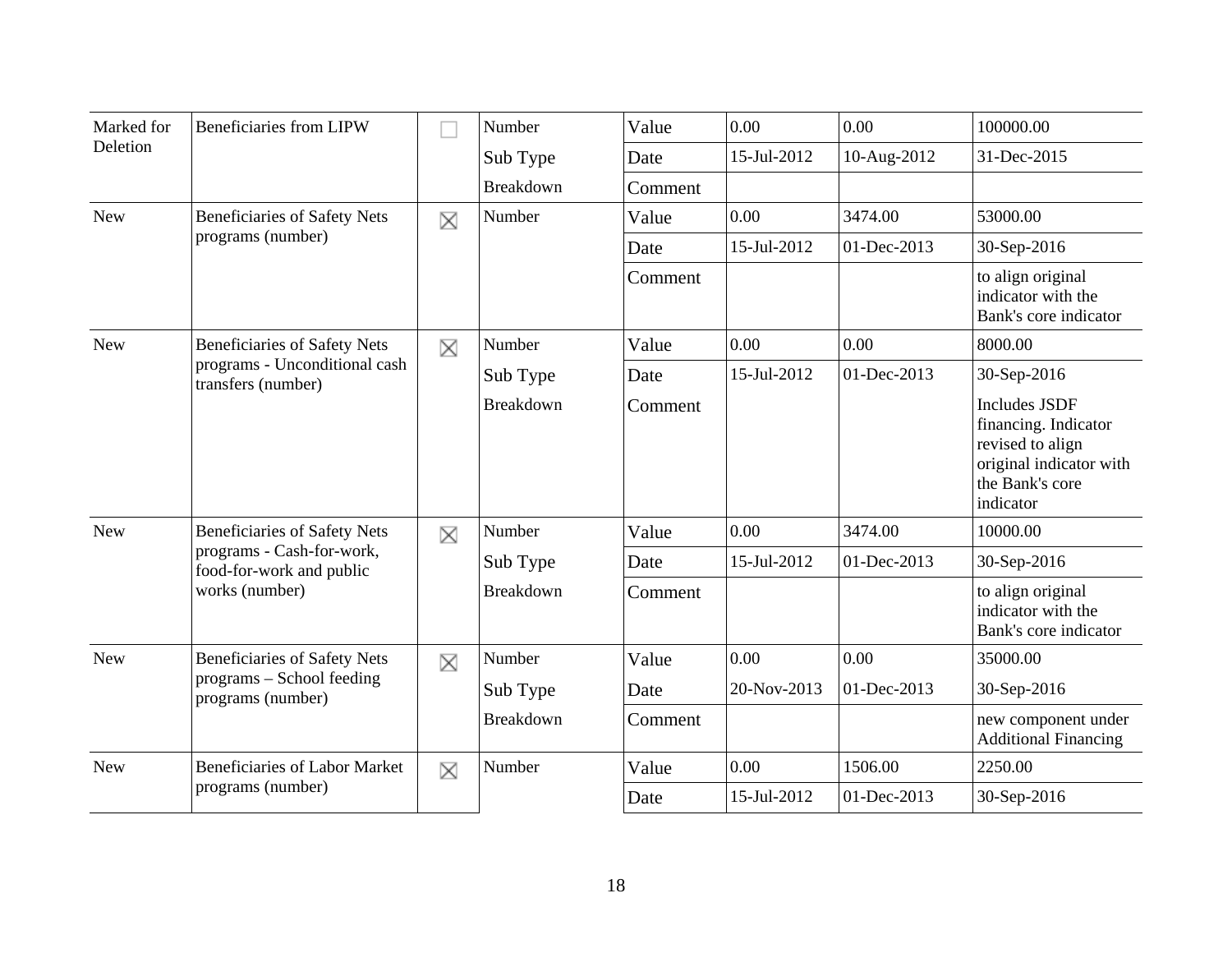| Marked for                                        | <b>Beneficiaries from LIPW</b>                        |   | Number           | Value   | 0.00        | 0.00        | 100000.00                                                                                                                   |
|---------------------------------------------------|-------------------------------------------------------|---|------------------|---------|-------------|-------------|-----------------------------------------------------------------------------------------------------------------------------|
| Deletion                                          |                                                       |   | Sub Type         | Date    | 15-Jul-2012 | 10-Aug-2012 | 31-Dec-2015                                                                                                                 |
|                                                   |                                                       |   | <b>Breakdown</b> | Comment |             |             |                                                                                                                             |
| <b>New</b>                                        | <b>Beneficiaries of Safety Nets</b>                   | X | Number           | Value   | 0.00        | 3474.00     | 53000.00                                                                                                                    |
|                                                   | programs (number)                                     |   |                  | Date    | 15-Jul-2012 | 01-Dec-2013 | 30-Sep-2016                                                                                                                 |
|                                                   |                                                       |   |                  | Comment |             |             | to align original<br>indicator with the<br>Bank's core indicator                                                            |
| <b>New</b><br><b>Beneficiaries of Safety Nets</b> |                                                       | X | Number           | Value   | 0.00        | 0.00        | 8000.00                                                                                                                     |
|                                                   | programs - Unconditional cash<br>transfers (number)   |   | Sub Type         | Date    | 15-Jul-2012 | 01-Dec-2013 | 30-Sep-2016                                                                                                                 |
|                                                   |                                                       |   | <b>Breakdown</b> | Comment |             |             | <b>Includes JSDF</b><br>financing. Indicator<br>revised to align<br>original indicator with<br>the Bank's core<br>indicator |
| <b>New</b>                                        | <b>Beneficiaries of Safety Nets</b>                   | X | Number           | Value   | 0.00        | 3474.00     | 10000.00                                                                                                                    |
|                                                   | programs - Cash-for-work,<br>food-for-work and public |   | Sub Type         | Date    | 15-Jul-2012 | 01-Dec-2013 | 30-Sep-2016                                                                                                                 |
|                                                   | works (number)                                        |   | Breakdown        | Comment |             |             | to align original<br>indicator with the<br>Bank's core indicator                                                            |
| <b>New</b>                                        | <b>Beneficiaries of Safety Nets</b>                   | X | Number           | Value   | 0.00        | 0.00        | 35000.00                                                                                                                    |
|                                                   | programs - School feeding<br>programs (number)        |   | Sub Type         | Date    | 20-Nov-2013 | 01-Dec-2013 | 30-Sep-2016                                                                                                                 |
|                                                   |                                                       |   | <b>Breakdown</b> | Comment |             |             | new component under<br><b>Additional Financing</b>                                                                          |
| <b>New</b>                                        | <b>Beneficiaries of Labor Market</b>                  | X | Number           | Value   | 0.00        | 1506.00     | 2250.00                                                                                                                     |
|                                                   | programs (number)                                     |   |                  | Date    | 15-Jul-2012 | 01-Dec-2013 | 30-Sep-2016                                                                                                                 |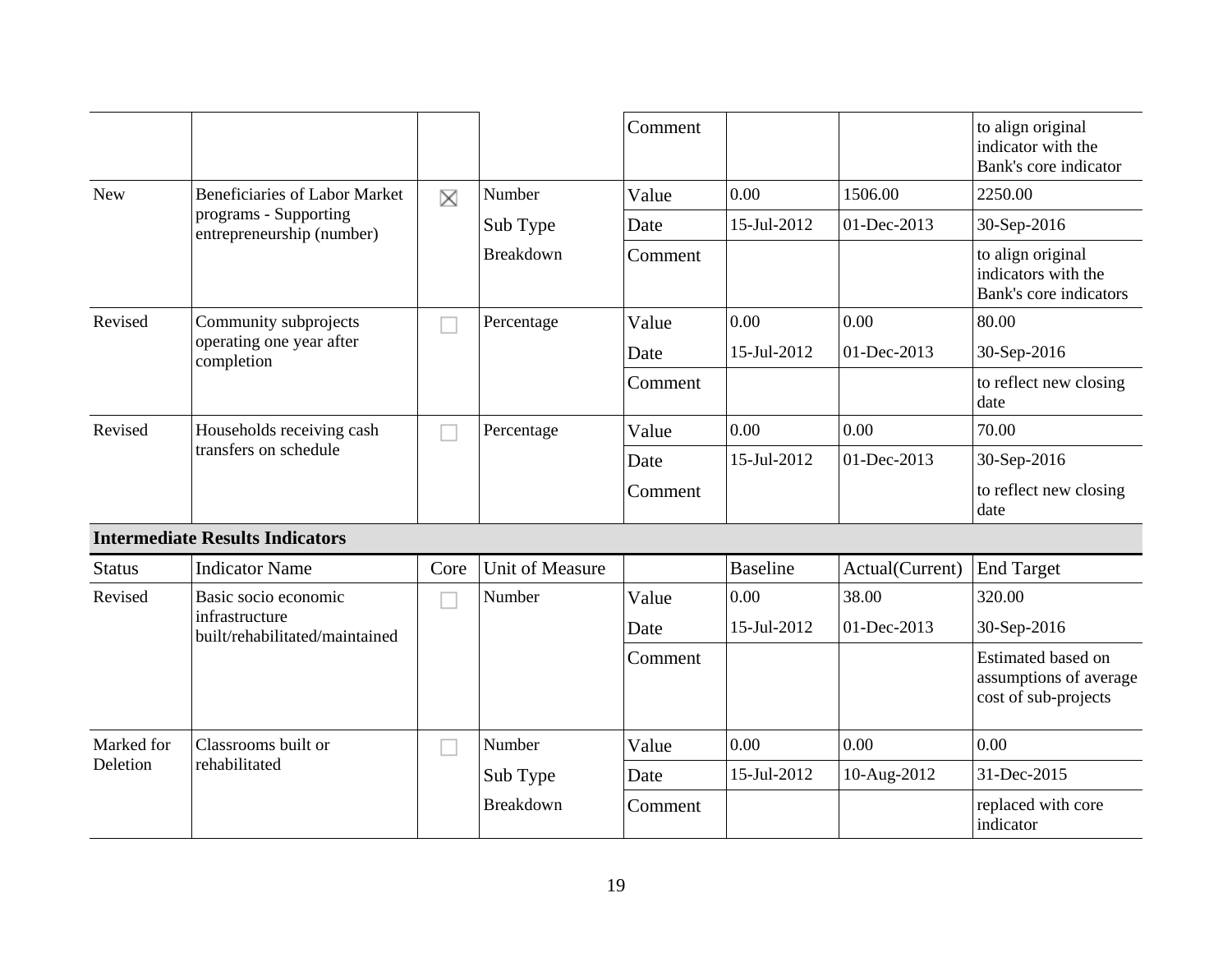|               |                                                    |      |                        | Comment |                 |                 | to align original<br>indicator with the<br>Bank's core indicator     |
|---------------|----------------------------------------------------|------|------------------------|---------|-----------------|-----------------|----------------------------------------------------------------------|
| <b>New</b>    | <b>Beneficiaries of Labor Market</b>               | X    | Number                 | Value   | 0.00            | 1506.00         | 2250.00                                                              |
|               | programs - Supporting<br>entrepreneurship (number) |      | Sub Type               | Date    | 15-Jul-2012     | 01-Dec-2013     | 30-Sep-2016                                                          |
|               |                                                    |      | <b>Breakdown</b>       | Comment |                 |                 | to align original<br>indicators with the<br>Bank's core indicators   |
| Revised       | Community subprojects                              |      | Percentage             | Value   | 0.00            | 0.00            | 80.00                                                                |
|               | operating one year after<br>completion             |      |                        | Date    | 15-Jul-2012     | 01-Dec-2013     | 30-Sep-2016                                                          |
|               |                                                    |      |                        | Comment |                 |                 | to reflect new closing<br>date                                       |
| Revised       | Households receiving cash<br>transfers on schedule |      | Percentage             | Value   | 0.00            | 0.00            | 70.00                                                                |
|               |                                                    |      |                        | Date    | 15-Jul-2012     | 01-Dec-2013     | 30-Sep-2016                                                          |
|               |                                                    |      |                        | Comment |                 |                 | to reflect new closing<br>date                                       |
|               | <b>Intermediate Results Indicators</b>             |      |                        |         |                 |                 |                                                                      |
| <b>Status</b> | <b>Indicator Name</b>                              | Core | <b>Unit of Measure</b> |         | <b>Baseline</b> | Actual(Current) | <b>End Target</b>                                                    |
| Revised       | Basic socio economic                               |      | Number                 | Value   | 0.00            | 38.00           | 320.00                                                               |
|               | infrastructure<br>built/rehabilitated/maintained   |      |                        | Date    | 15-Jul-2012     | 01-Dec-2013     | 30-Sep-2016                                                          |
|               |                                                    |      |                        | Comment |                 |                 | Estimated based on<br>assumptions of average<br>cost of sub-projects |
| Marked for    | Classrooms built or                                |      | Number                 | Value   | 0.00            | 0.00            | 0.00                                                                 |
| Deletion      | rehabilitated                                      |      | Sub Type               | Date    | 15-Jul-2012     | 10-Aug-2012     | 31-Dec-2015                                                          |

Breakdown Comment | replaced with core

indicator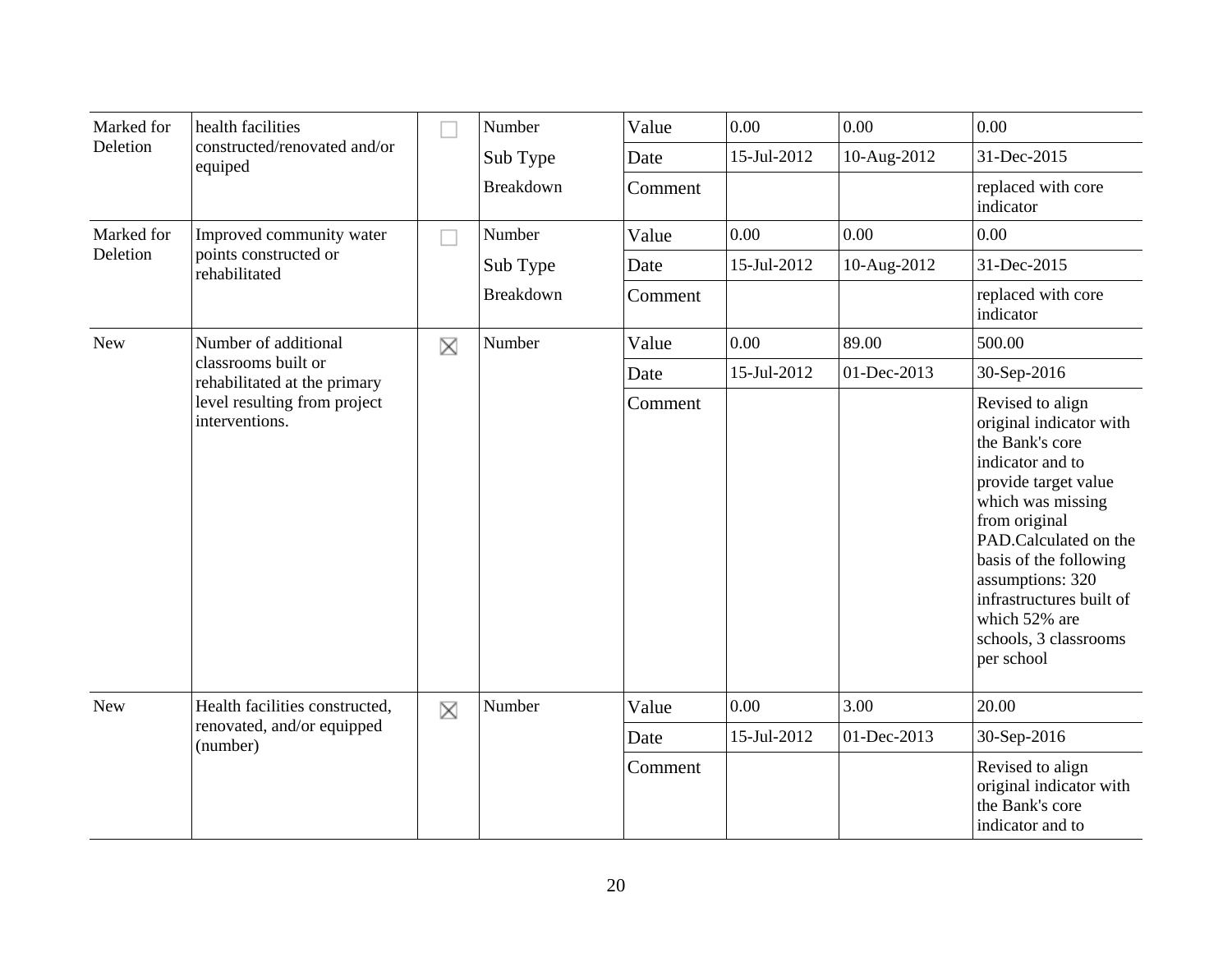| Marked for | health facilities                                   |        | Number           | Value   | 0.00        | 0.00        | 0.00                                                                                                                                                                                                                                                                                                        |
|------------|-----------------------------------------------------|--------|------------------|---------|-------------|-------------|-------------------------------------------------------------------------------------------------------------------------------------------------------------------------------------------------------------------------------------------------------------------------------------------------------------|
| Deletion   | constructed/renovated and/or<br>equiped             |        | Sub Type         | Date    | 15-Jul-2012 | 10-Aug-2012 | 31-Dec-2015                                                                                                                                                                                                                                                                                                 |
|            |                                                     |        | <b>Breakdown</b> | Comment |             |             | replaced with core<br>indicator                                                                                                                                                                                                                                                                             |
| Marked for | Improved community water                            | $\sim$ | Number           | Value   | 0.00        | 0.00        | 0.00                                                                                                                                                                                                                                                                                                        |
| Deletion   | points constructed or<br>rehabilitated              |        | Sub Type         | Date    | 15-Jul-2012 | 10-Aug-2012 | 31-Dec-2015                                                                                                                                                                                                                                                                                                 |
|            |                                                     |        | Breakdown        | Comment |             |             | replaced with core<br>indicator                                                                                                                                                                                                                                                                             |
| <b>New</b> | Number of additional                                | X      | Number           | Value   | 0.00        | 89.00       | 500.00                                                                                                                                                                                                                                                                                                      |
|            | classrooms built or<br>rehabilitated at the primary |        |                  | Date    | 15-Jul-2012 | 01-Dec-2013 | 30-Sep-2016                                                                                                                                                                                                                                                                                                 |
|            | level resulting from project<br>interventions.      |        |                  | Comment |             |             | Revised to align<br>original indicator with<br>the Bank's core<br>indicator and to<br>provide target value<br>which was missing<br>from original<br>PAD.Calculated on the<br>basis of the following<br>assumptions: 320<br>infrastructures built of<br>which 52% are<br>schools, 3 classrooms<br>per school |
| <b>New</b> | Health facilities constructed,                      | X      | Number           | Value   | 0.00        | 3.00        | 20.00                                                                                                                                                                                                                                                                                                       |
|            | renovated, and/or equipped<br>(number)              |        |                  | Date    | 15-Jul-2012 | 01-Dec-2013 | 30-Sep-2016                                                                                                                                                                                                                                                                                                 |
|            |                                                     |        |                  | Comment |             |             | Revised to align<br>original indicator with<br>the Bank's core<br>indicator and to                                                                                                                                                                                                                          |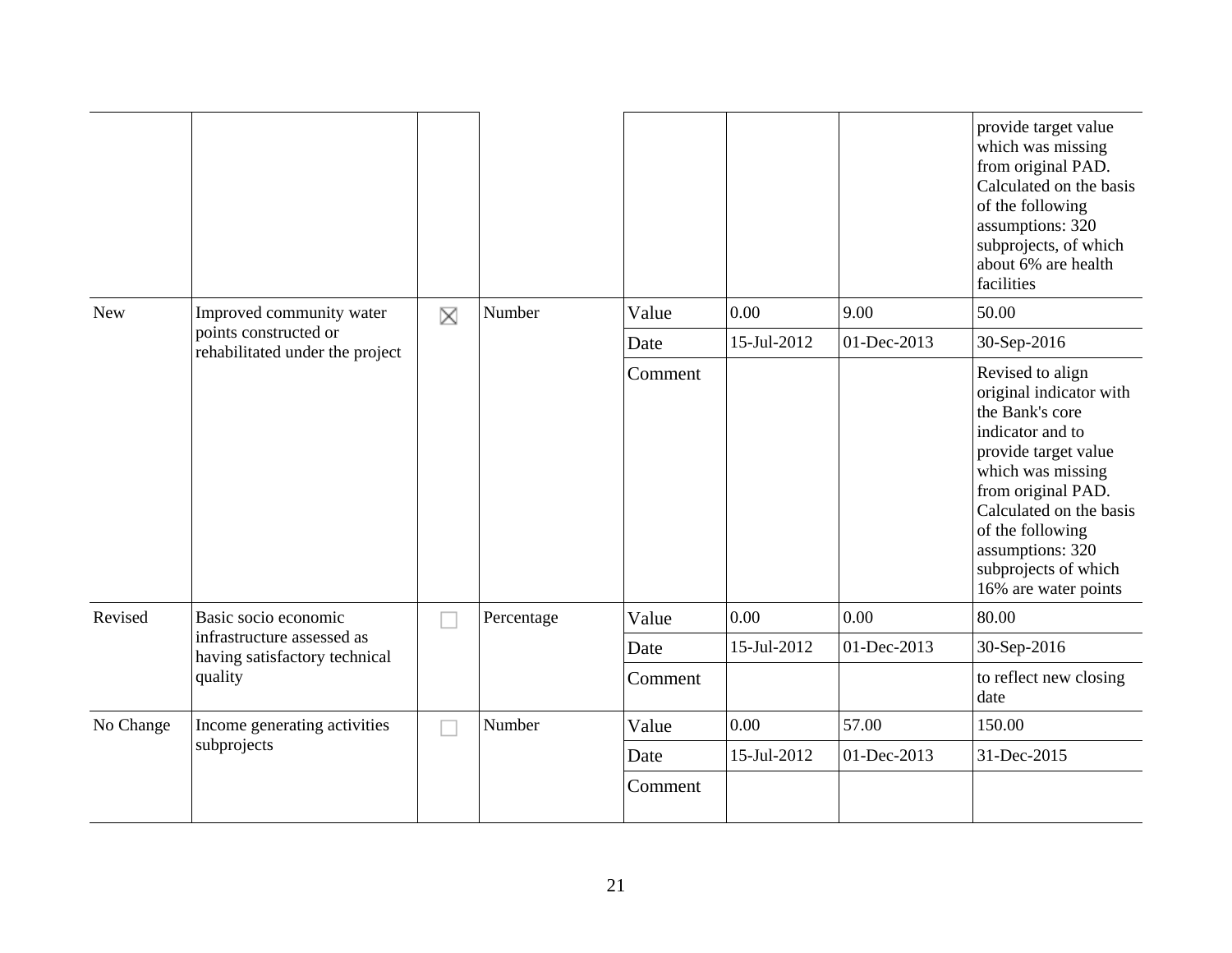|            |                                                             |   |            |         |             |             | provide target value<br>which was missing<br>from original PAD.<br>Calculated on the basis<br>of the following<br>assumptions: 320<br>subprojects, of which<br>about 6% are health<br>facilities                                                                         |
|------------|-------------------------------------------------------------|---|------------|---------|-------------|-------------|--------------------------------------------------------------------------------------------------------------------------------------------------------------------------------------------------------------------------------------------------------------------------|
| <b>New</b> | Improved community water                                    | X | Number     | Value   | 0.00        | 9.00        | 50.00                                                                                                                                                                                                                                                                    |
|            | points constructed or<br>rehabilitated under the project    |   |            | Date    | 15-Jul-2012 | 01-Dec-2013 | 30-Sep-2016                                                                                                                                                                                                                                                              |
|            |                                                             |   |            | Comment |             |             | Revised to align<br>original indicator with<br>the Bank's core<br>indicator and to<br>provide target value<br>which was missing<br>from original PAD.<br>Calculated on the basis<br>of the following<br>assumptions: 320<br>subprojects of which<br>16% are water points |
| Revised    | Basic socio economic                                        |   | Percentage | Value   | 0.00        | 0.00        | 80.00                                                                                                                                                                                                                                                                    |
|            | infrastructure assessed as<br>having satisfactory technical |   |            | Date    | 15-Jul-2012 | 01-Dec-2013 | 30-Sep-2016                                                                                                                                                                                                                                                              |
|            | quality                                                     |   |            | Comment |             |             | to reflect new closing<br>date                                                                                                                                                                                                                                           |
| No Change  | Income generating activities                                |   | Number     | Value   | 0.00        | 57.00       | 150.00                                                                                                                                                                                                                                                                   |
|            | subprojects                                                 |   |            | Date    | 15-Jul-2012 | 01-Dec-2013 | 31-Dec-2015                                                                                                                                                                                                                                                              |
|            |                                                             |   |            | Comment |             |             |                                                                                                                                                                                                                                                                          |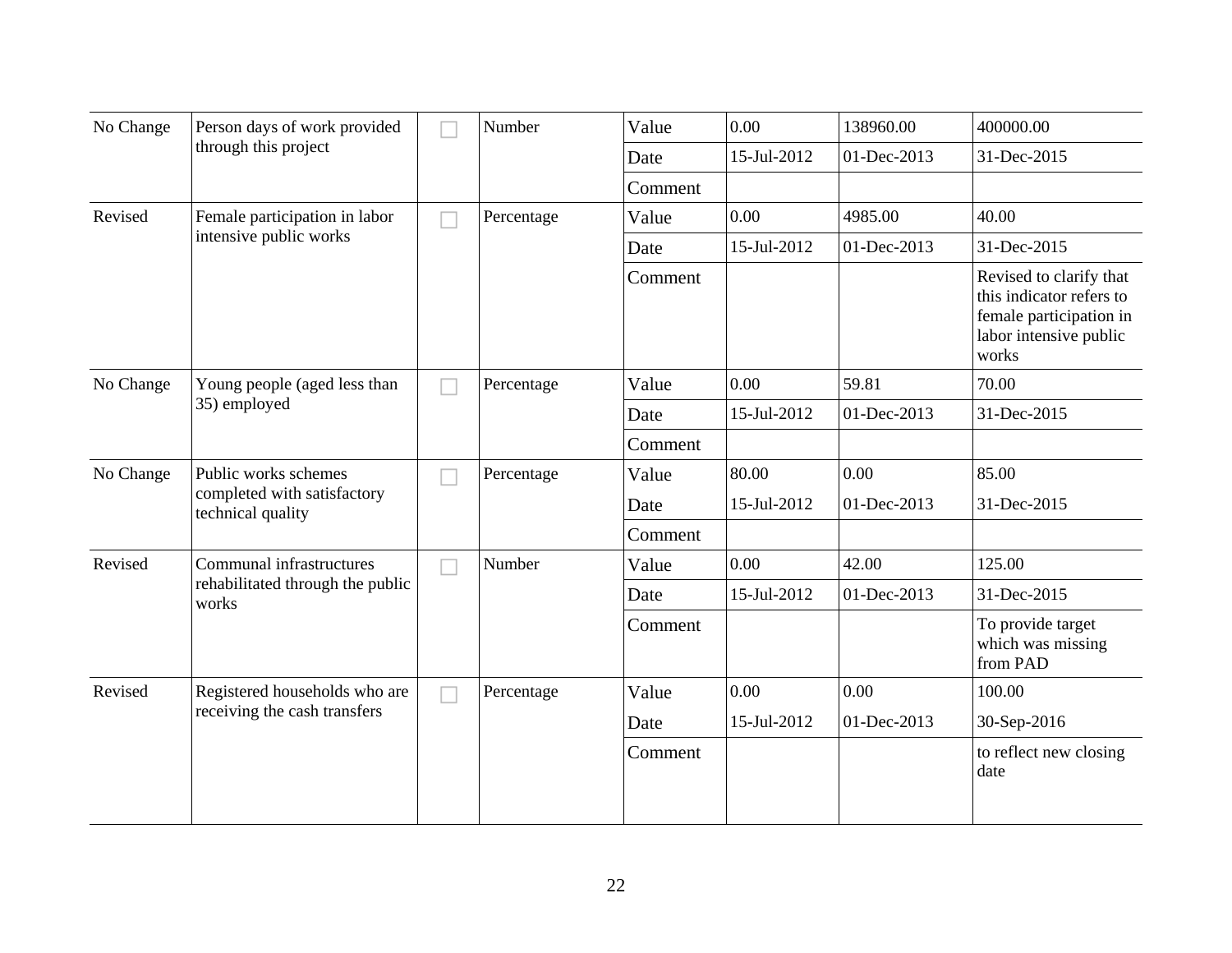| No Change | Person days of work provided                     |                          | Number     | Value   | 0.00        | 138960.00   | 400000.00                                                                                                         |
|-----------|--------------------------------------------------|--------------------------|------------|---------|-------------|-------------|-------------------------------------------------------------------------------------------------------------------|
|           | through this project                             |                          |            | Date    | 15-Jul-2012 | 01-Dec-2013 | 31-Dec-2015                                                                                                       |
|           |                                                  |                          |            | Comment |             |             |                                                                                                                   |
| Revised   | Female participation in labor                    |                          | Percentage | Value   | 0.00        | 4985.00     | 40.00                                                                                                             |
|           | intensive public works                           |                          |            | Date    | 15-Jul-2012 | 01-Dec-2013 | 31-Dec-2015                                                                                                       |
|           |                                                  |                          |            | Comment |             |             | Revised to clarify that<br>this indicator refers to<br>female participation in<br>labor intensive public<br>works |
| No Change | Young people (aged less than                     |                          | Percentage | Value   | 0.00        | 59.81       | 70.00                                                                                                             |
|           | 35) employed                                     |                          |            | Date    | 15-Jul-2012 | 01-Dec-2013 | 31-Dec-2015                                                                                                       |
|           |                                                  |                          |            | Comment |             |             |                                                                                                                   |
| No Change | Public works schemes                             | Ξ                        | Percentage | Value   | 80.00       | 0.00        | 85.00                                                                                                             |
|           | completed with satisfactory<br>technical quality |                          |            | Date    | 15-Jul-2012 | 01-Dec-2013 | 31-Dec-2015                                                                                                       |
|           |                                                  |                          |            | Comment |             |             |                                                                                                                   |
| Revised   | Communal infrastructures                         | $\overline{\phantom{a}}$ | Number     | Value   | 0.00        | 42.00       | 125.00                                                                                                            |
|           | rehabilitated through the public<br>works        |                          |            | Date    | 15-Jul-2012 | 01-Dec-2013 | 31-Dec-2015                                                                                                       |
|           |                                                  |                          |            | Comment |             |             | To provide target<br>which was missing<br>from PAD                                                                |
| Revised   | Registered households who are                    |                          | Percentage | Value   | 0.00        | 0.00        | 100.00                                                                                                            |
|           | receiving the cash transfers                     |                          |            | Date    | 15-Jul-2012 | 01-Dec-2013 | 30-Sep-2016                                                                                                       |
|           |                                                  |                          |            | Comment |             |             | to reflect new closing<br>date                                                                                    |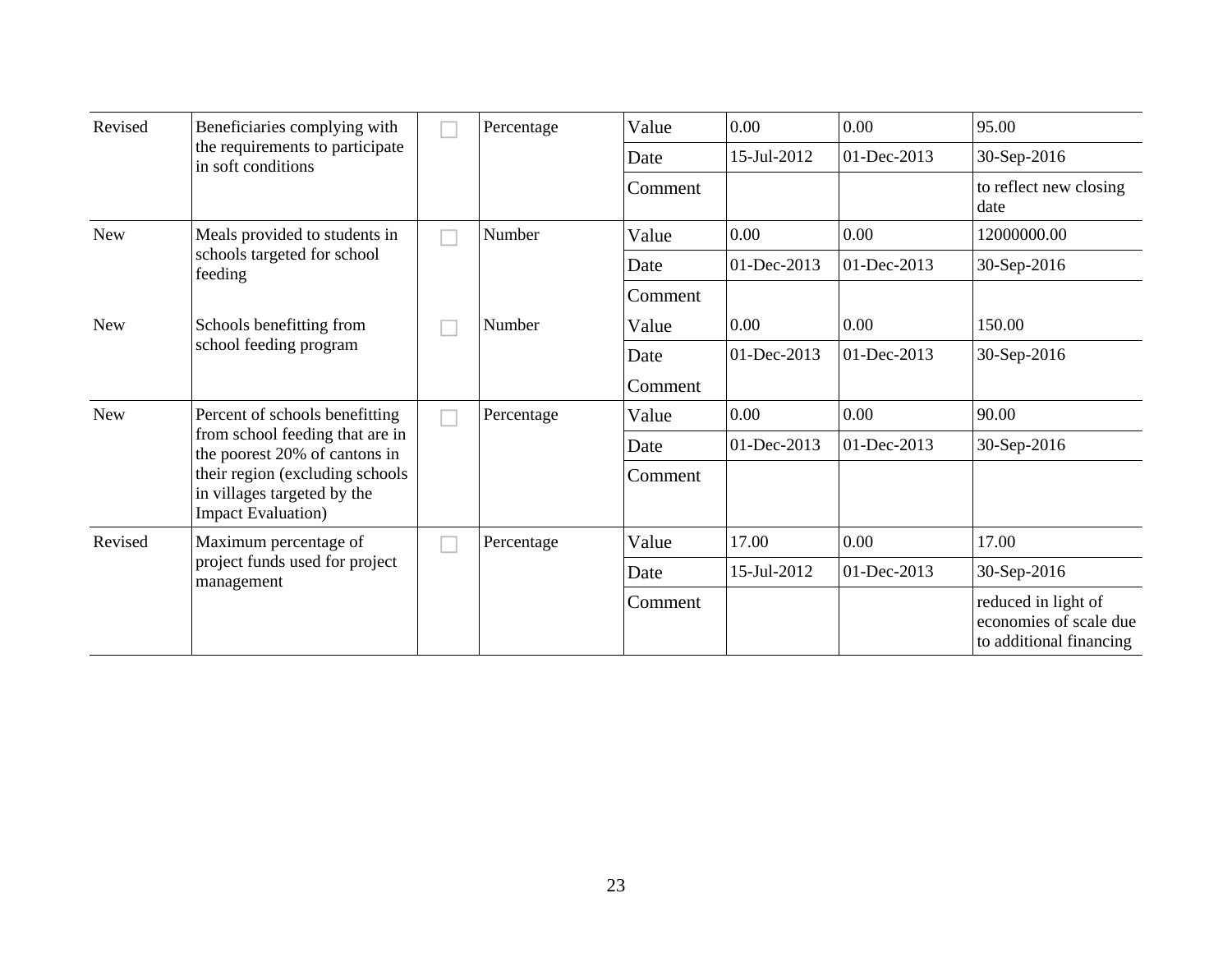| Revised    | Beneficiaries complying with                                                                 |  | Percentage | Value   | 0.00        | 0.00            | 95.00                                                                    |
|------------|----------------------------------------------------------------------------------------------|--|------------|---------|-------------|-----------------|--------------------------------------------------------------------------|
|            | the requirements to participate<br>in soft conditions                                        |  |            | Date    | 15-Jul-2012 | 01-Dec-2013     | 30-Sep-2016                                                              |
|            |                                                                                              |  |            | Comment |             |                 | to reflect new closing<br>date                                           |
| <b>New</b> | Meals provided to students in                                                                |  | Number     | Value   | 0.00        | 0.00            | 12000000.00                                                              |
|            | schools targeted for school<br>feeding                                                       |  |            | Date    | 01-Dec-2013 | 01-Dec-2013     | 30-Sep-2016                                                              |
|            |                                                                                              |  |            | Comment |             |                 |                                                                          |
| <b>New</b> | Schools benefitting from                                                                     |  | Number     | Value   | 0.00        | 0.00            | 150.00                                                                   |
|            | school feeding program                                                                       |  |            | Date    | 01-Dec-2013 | 01-Dec-2013     | 30-Sep-2016                                                              |
|            |                                                                                              |  |            | Comment |             |                 |                                                                          |
| <b>New</b> | Percent of schools benefitting                                                               |  | Percentage | Value   | 0.00        | 0.00            | 90.00                                                                    |
|            | from school feeding that are in<br>the poorest 20% of cantons in                             |  |            | Date    | 01-Dec-2013 | $01 - Dec-2013$ | 30-Sep-2016                                                              |
|            | their region (excluding schools<br>in villages targeted by the<br><b>Impact Evaluation</b> ) |  |            | Comment |             |                 |                                                                          |
| Revised    | Maximum percentage of                                                                        |  | Percentage | Value   | 17.00       | 0.00            | 17.00                                                                    |
|            | project funds used for project<br>management                                                 |  |            | Date    | 15-Jul-2012 | 01-Dec-2013     | 30-Sep-2016                                                              |
|            |                                                                                              |  |            | Comment |             |                 | reduced in light of<br>economies of scale due<br>to additional financing |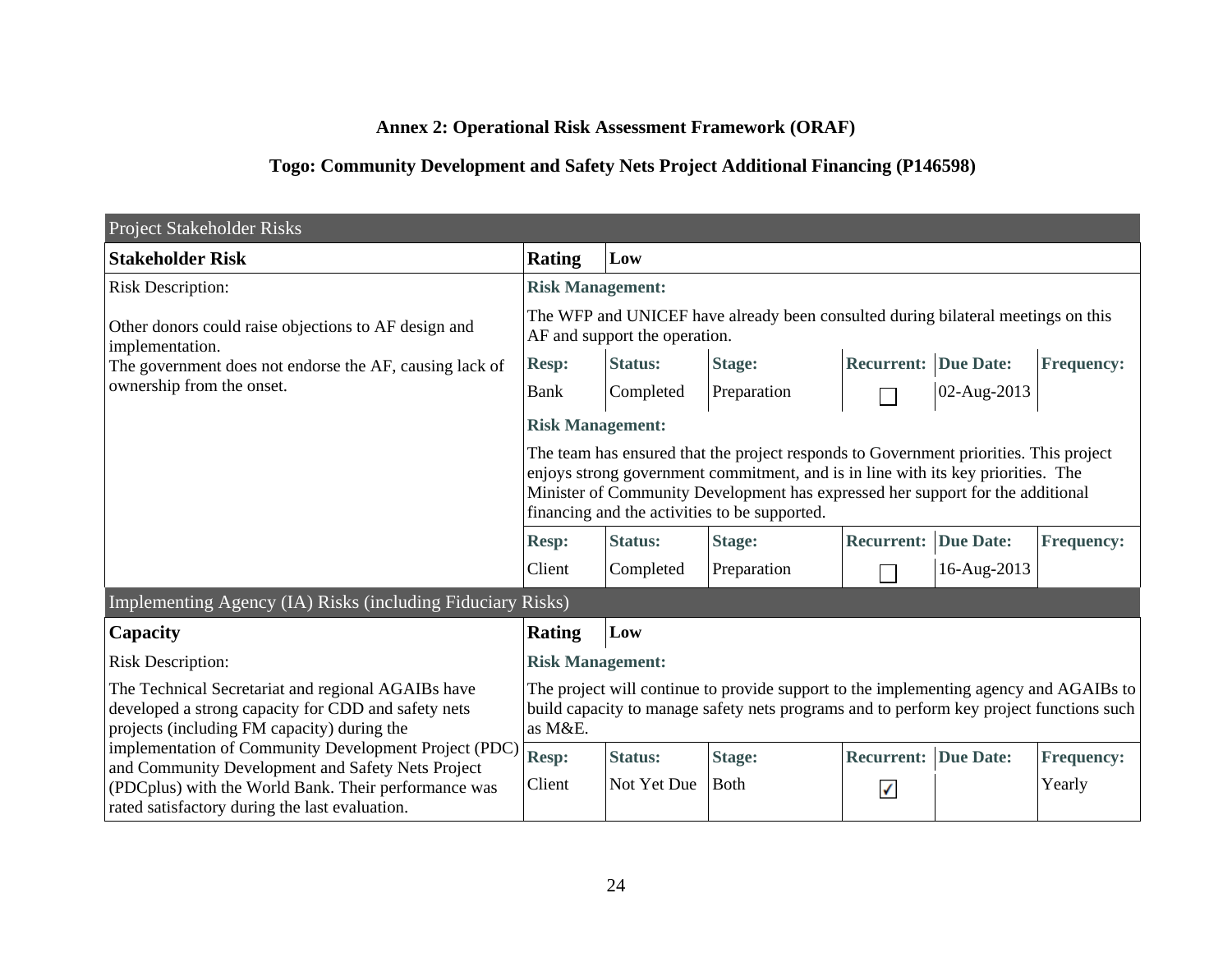# **Annex 2: Operational Risk Assessment Framework (ORAF)**

# **Togo: Community Development and Safety Nets Project Additional Financing (P146598)**

| Project Stakeholder Risks                                                                                                                                                                                            |                                                                                                                                                                                                                                                                                                              |                |                                                                                                                                                                                  |                             |                  |                   |  |  |  |
|----------------------------------------------------------------------------------------------------------------------------------------------------------------------------------------------------------------------|--------------------------------------------------------------------------------------------------------------------------------------------------------------------------------------------------------------------------------------------------------------------------------------------------------------|----------------|----------------------------------------------------------------------------------------------------------------------------------------------------------------------------------|-----------------------------|------------------|-------------------|--|--|--|
| <b>Stakeholder Risk</b>                                                                                                                                                                                              | <b>Rating</b>                                                                                                                                                                                                                                                                                                | Low            |                                                                                                                                                                                  |                             |                  |                   |  |  |  |
| <b>Risk Description:</b>                                                                                                                                                                                             | <b>Risk Management:</b>                                                                                                                                                                                                                                                                                      |                |                                                                                                                                                                                  |                             |                  |                   |  |  |  |
| Other donors could raise objections to AF design and<br>implementation.<br>The government does not endorse the AF, causing lack of                                                                                   | The WFP and UNICEF have already been consulted during bilateral meetings on this<br>AF and support the operation.                                                                                                                                                                                            |                |                                                                                                                                                                                  |                             |                  |                   |  |  |  |
|                                                                                                                                                                                                                      | <b>Resp:</b>                                                                                                                                                                                                                                                                                                 | <b>Status:</b> | <b>Stage:</b>                                                                                                                                                                    | <b>Recurrent: Due Date:</b> |                  | <b>Frequency:</b> |  |  |  |
| ownership from the onset.                                                                                                                                                                                            | <b>Bank</b>                                                                                                                                                                                                                                                                                                  | Completed      | Preparation                                                                                                                                                                      |                             | 02-Aug-2013      |                   |  |  |  |
|                                                                                                                                                                                                                      | <b>Risk Management:</b>                                                                                                                                                                                                                                                                                      |                |                                                                                                                                                                                  |                             |                  |                   |  |  |  |
|                                                                                                                                                                                                                      | The team has ensured that the project responds to Government priorities. This project<br>enjoys strong government commitment, and is in line with its key priorities. The<br>Minister of Community Development has expressed her support for the additional<br>financing and the activities to be supported. |                |                                                                                                                                                                                  |                             |                  |                   |  |  |  |
|                                                                                                                                                                                                                      | <b>Resp:</b>                                                                                                                                                                                                                                                                                                 | <b>Status:</b> | <b>Stage:</b>                                                                                                                                                                    | <b>Recurrent:</b>           | <b>Due Date:</b> | <b>Frequency:</b> |  |  |  |
|                                                                                                                                                                                                                      | Client                                                                                                                                                                                                                                                                                                       | Completed      | Preparation                                                                                                                                                                      |                             | 16-Aug-2013      |                   |  |  |  |
| Implementing Agency (IA) Risks (including Fiduciary Risks)                                                                                                                                                           |                                                                                                                                                                                                                                                                                                              |                |                                                                                                                                                                                  |                             |                  |                   |  |  |  |
| Capacity                                                                                                                                                                                                             | <b>Rating</b>                                                                                                                                                                                                                                                                                                | Low            |                                                                                                                                                                                  |                             |                  |                   |  |  |  |
| <b>Risk Description:</b>                                                                                                                                                                                             | <b>Risk Management:</b>                                                                                                                                                                                                                                                                                      |                |                                                                                                                                                                                  |                             |                  |                   |  |  |  |
| The Technical Secretariat and regional AGAIBs have<br>developed a strong capacity for CDD and safety nets<br>projects (including FM capacity) during the                                                             | as M&E.                                                                                                                                                                                                                                                                                                      |                | The project will continue to provide support to the implementing agency and AGAIBs to<br>build capacity to manage safety nets programs and to perform key project functions such |                             |                  |                   |  |  |  |
| implementation of Community Development Project (PDC)<br>and Community Development and Safety Nets Project<br>(PDCplus) with the World Bank. Their performance was<br>rated satisfactory during the last evaluation. | Resp:                                                                                                                                                                                                                                                                                                        | <b>Status:</b> | <b>Stage:</b>                                                                                                                                                                    | Recurrent:                  | <b>Due Date:</b> | <b>Frequency:</b> |  |  |  |
|                                                                                                                                                                                                                      | Client                                                                                                                                                                                                                                                                                                       | Not Yet Due    | <b>Both</b>                                                                                                                                                                      | $\checkmark$                |                  | Yearly            |  |  |  |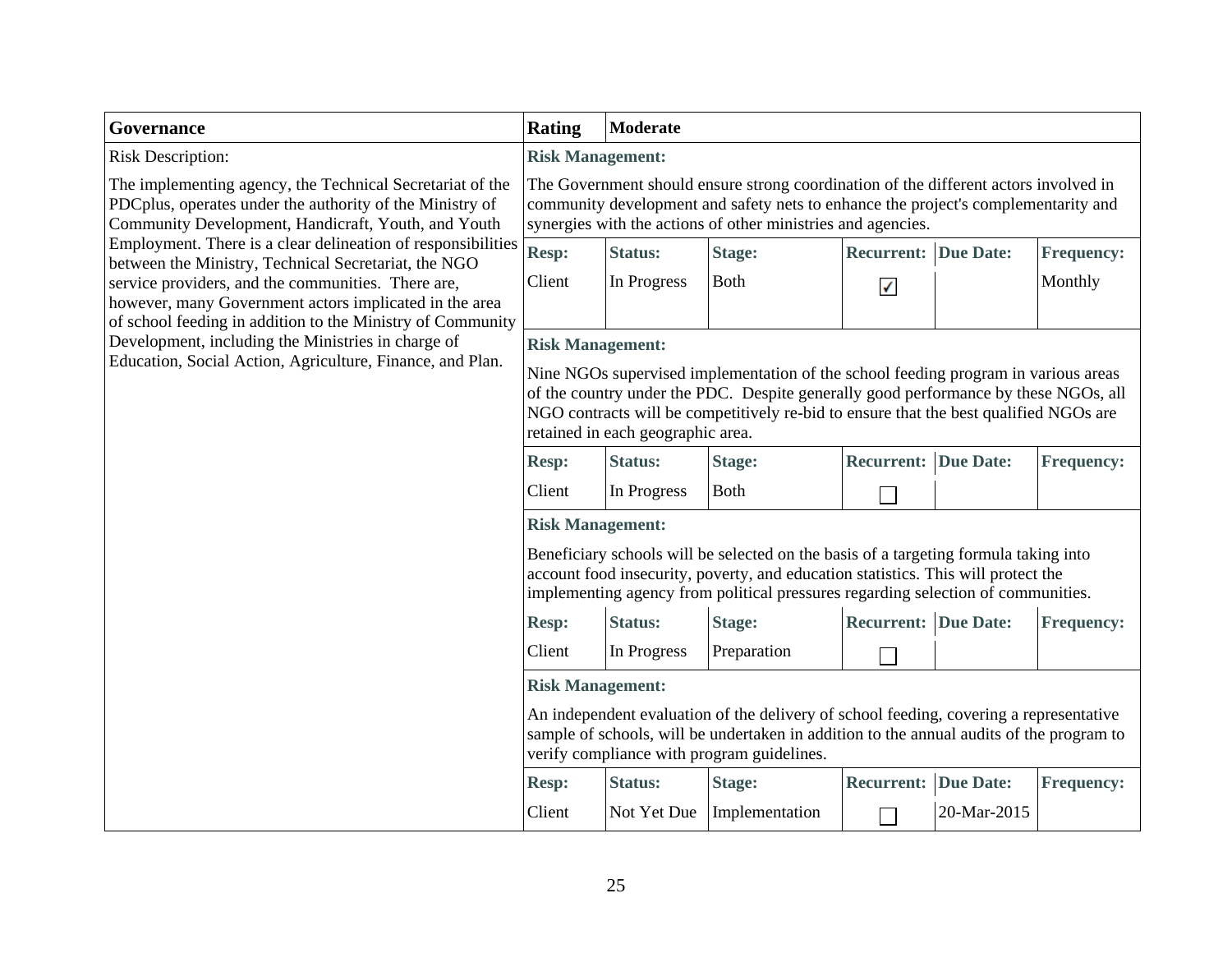### **Governance**

The implementing agency, the Technical Secretariat of the PDCplus, operates under the authority of the Ministry of Community Development, Handicraft, Youth, and Youth Employment. There is a clear delineation of responsibilities between the Ministry, Technical Secretariat, the NGO service providers, and the communities. There are, however, many Government actors implicated in the area of school feeding in addition to the Ministry of Community Development, including the Ministries in charge of Education, Social Action, Agriculture, Finance, and Plan.

# **Rating Moderate**

### Risk Description: **Risk Management:**

The Government should ensure strong coordination of the different actors involved in community development and safety nets to enhance the project's complementarity and synergies with the actions of other ministries and agencies.

| <b>Resp:</b> | <b>Status:</b> | Stage:       | <b>Recurrent: Due Date:</b> | <b>Frequency:</b> |
|--------------|----------------|--------------|-----------------------------|-------------------|
| Client       | In Progress    | <b>B</b> oth |                             | Monthly           |

### **Risk Management:**

Nine NGOs supervised implementation of the school feeding program in various areas of the country under the PDC. Despite generally good performance by these NGOs, all NGO contracts will be competitively re-bid to ensure that the best qualified NGOs are retained in each geographic area.

| <b>Resp:</b> | <b>Status:</b> | <b>Stage:</b> | <b>Recurrent: Due Date:</b> | <b>Frequency:</b> |
|--------------|----------------|---------------|-----------------------------|-------------------|
| Client       | In Progress    | ∣ Both        |                             |                   |

### **Risk Management:**

Beneficiary schools will be selected on the basis of a targeting formula taking into account food insecurity, poverty, and education statistics. This will protect the implementing agency from political pressures regarding selection of communities.

| <b>Resp:</b> | <b>Status:</b> | Stage:      | <b>Recurrent: Due Date:</b> | <b>Frequency:</b> |
|--------------|----------------|-------------|-----------------------------|-------------------|
| Client       | In Progress    | Preparation |                             |                   |

### **Risk Management:**

An independent evaluation of the delivery of school feeding, covering a representative sample of schools, will be undertaken in addition to the annual audits of the program to verify compliance with program guidelines.

| <b>Resp:</b> | <b>Status:</b> | Stage:                     | <b>Recurrent: Due Date:</b> |             | <b>Frequency:</b> |
|--------------|----------------|----------------------------|-----------------------------|-------------|-------------------|
| Client       |                | Not Yet Due Implementation |                             | 20-Mar-2015 |                   |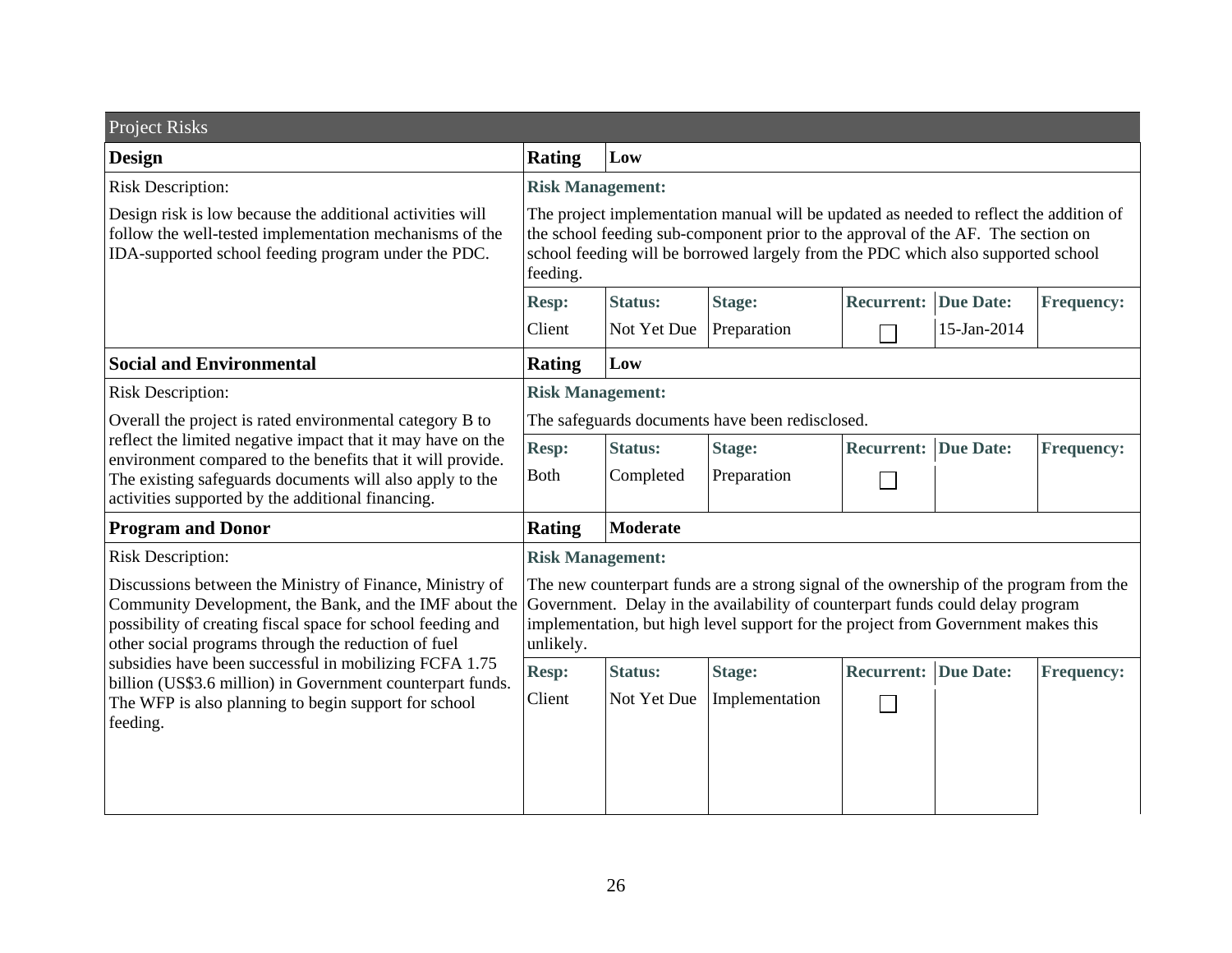| <b>Project Risks</b>                                                                                                                                                                                                                     |                                                                                                                                                                                                                                                                            |                 |                |                             |             |                   |
|------------------------------------------------------------------------------------------------------------------------------------------------------------------------------------------------------------------------------------------|----------------------------------------------------------------------------------------------------------------------------------------------------------------------------------------------------------------------------------------------------------------------------|-----------------|----------------|-----------------------------|-------------|-------------------|
| <b>Design</b>                                                                                                                                                                                                                            | <b>Rating</b>                                                                                                                                                                                                                                                              | Low             |                |                             |             |                   |
| <b>Risk Description:</b>                                                                                                                                                                                                                 | <b>Risk Management:</b>                                                                                                                                                                                                                                                    |                 |                |                             |             |                   |
| Design risk is low because the additional activities will<br>follow the well-tested implementation mechanisms of the<br>IDA-supported school feeding program under the PDC.                                                              | The project implementation manual will be updated as needed to reflect the addition of<br>the school feeding sub-component prior to the approval of the AF. The section on<br>school feeding will be borrowed largely from the PDC which also supported school<br>feeding. |                 |                |                             |             |                   |
|                                                                                                                                                                                                                                          | <b>Resp:</b>                                                                                                                                                                                                                                                               | <b>Status:</b>  | <b>Stage:</b>  | <b>Recurrent: Due Date:</b> |             | <b>Frequency:</b> |
|                                                                                                                                                                                                                                          | Client                                                                                                                                                                                                                                                                     | Not Yet Due     | Preparation    |                             | 15-Jan-2014 |                   |
| <b>Social and Environmental</b>                                                                                                                                                                                                          | <b>Rating</b>                                                                                                                                                                                                                                                              | Low             |                |                             |             |                   |
| <b>Risk Description:</b>                                                                                                                                                                                                                 | <b>Risk Management:</b>                                                                                                                                                                                                                                                    |                 |                |                             |             |                   |
| Overall the project is rated environmental category B to                                                                                                                                                                                 | The safeguards documents have been redisclosed.                                                                                                                                                                                                                            |                 |                |                             |             |                   |
| reflect the limited negative impact that it may have on the<br>environment compared to the benefits that it will provide.                                                                                                                | Resp:                                                                                                                                                                                                                                                                      | <b>Status:</b>  | Stage:         | <b>Recurrent: Due Date:</b> |             | <b>Frequency:</b> |
| The existing safeguards documents will also apply to the<br>activities supported by the additional financing.                                                                                                                            | Both                                                                                                                                                                                                                                                                       | Completed       | Preparation    |                             |             |                   |
| <b>Program and Donor</b>                                                                                                                                                                                                                 | <b>Rating</b>                                                                                                                                                                                                                                                              | <b>Moderate</b> |                |                             |             |                   |
| <b>Risk Description:</b>                                                                                                                                                                                                                 | <b>Risk Management:</b>                                                                                                                                                                                                                                                    |                 |                |                             |             |                   |
| Discussions between the Ministry of Finance, Ministry of<br>Community Development, the Bank, and the IMF about the<br>possibility of creating fiscal space for school feeding and<br>other social programs through the reduction of fuel | The new counterpart funds are a strong signal of the ownership of the program from the<br>Government. Delay in the availability of counterpart funds could delay program<br>implementation, but high level support for the project from Government makes this<br>unlikely. |                 |                |                             |             |                   |
| subsidies have been successful in mobilizing FCFA 1.75<br>billion (US\$3.6 million) in Government counterpart funds.                                                                                                                     | <b>Resp:</b>                                                                                                                                                                                                                                                               | <b>Status:</b>  | <b>Stage:</b>  | <b>Recurrent:</b>           | Due Date:   | <b>Frequency:</b> |
| The WFP is also planning to begin support for school                                                                                                                                                                                     | Client                                                                                                                                                                                                                                                                     | Not Yet Due     | Implementation |                             |             |                   |
| feeding.                                                                                                                                                                                                                                 |                                                                                                                                                                                                                                                                            |                 |                |                             |             |                   |
|                                                                                                                                                                                                                                          |                                                                                                                                                                                                                                                                            |                 |                |                             |             |                   |
|                                                                                                                                                                                                                                          |                                                                                                                                                                                                                                                                            |                 |                |                             |             |                   |
|                                                                                                                                                                                                                                          |                                                                                                                                                                                                                                                                            |                 |                |                             |             |                   |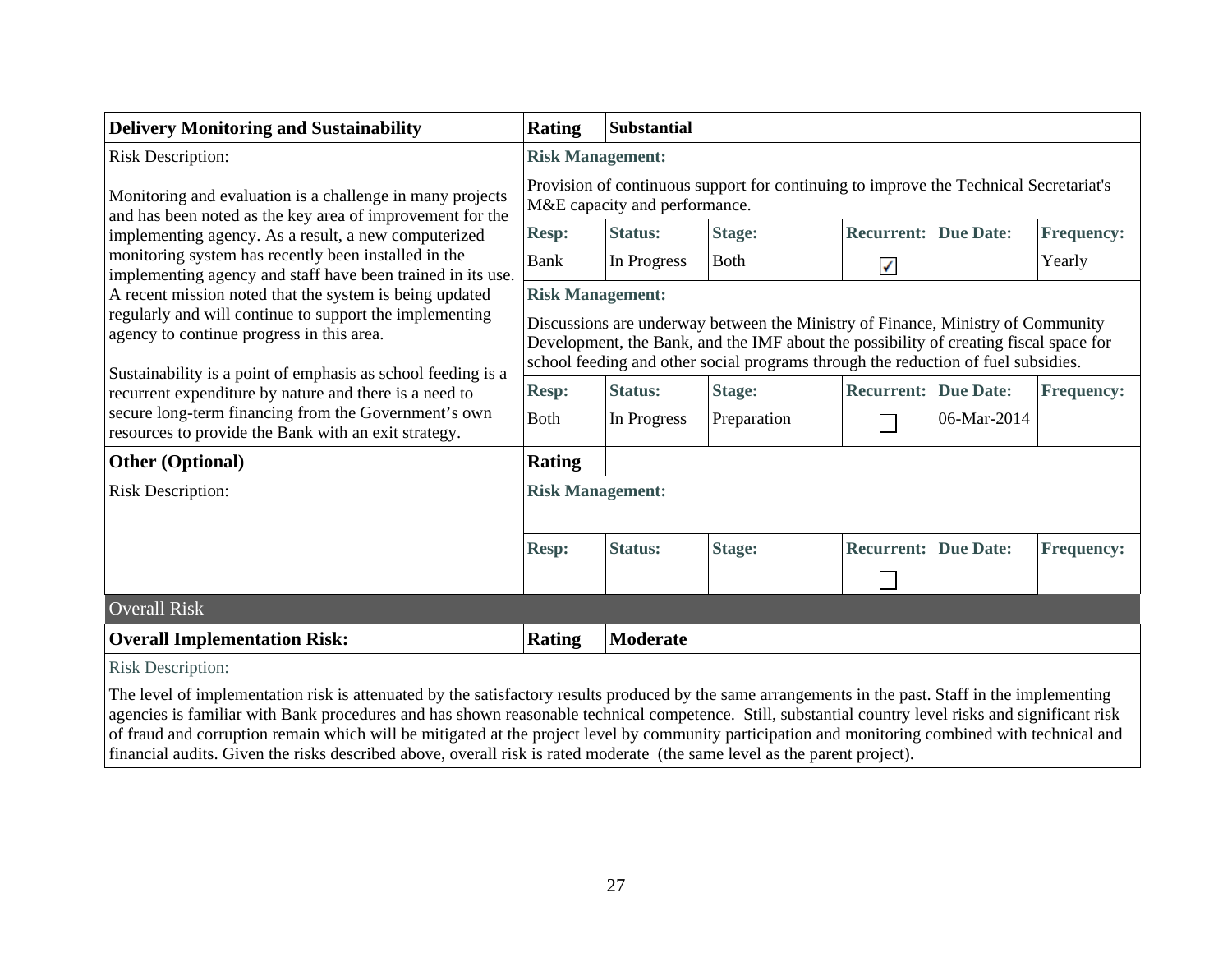| <b>Delivery Monitoring and Sustainability</b>                                                                                                                                                                                                                                                                                                                                                                                                                                                                                                                                                 | <b>Rating</b>                                                                                                                                                                                                                                                 | <b>Substantial</b> |               |                             |             |                   |  |
|-----------------------------------------------------------------------------------------------------------------------------------------------------------------------------------------------------------------------------------------------------------------------------------------------------------------------------------------------------------------------------------------------------------------------------------------------------------------------------------------------------------------------------------------------------------------------------------------------|---------------------------------------------------------------------------------------------------------------------------------------------------------------------------------------------------------------------------------------------------------------|--------------------|---------------|-----------------------------|-------------|-------------------|--|
| <b>Risk Description:</b>                                                                                                                                                                                                                                                                                                                                                                                                                                                                                                                                                                      | <b>Risk Management:</b>                                                                                                                                                                                                                                       |                    |               |                             |             |                   |  |
| Monitoring and evaluation is a challenge in many projects<br>and has been noted as the key area of improvement for the                                                                                                                                                                                                                                                                                                                                                                                                                                                                        | Provision of continuous support for continuing to improve the Technical Secretariat's<br>M&E capacity and performance.                                                                                                                                        |                    |               |                             |             |                   |  |
| implementing agency. As a result, a new computerized                                                                                                                                                                                                                                                                                                                                                                                                                                                                                                                                          | <b>Resp:</b>                                                                                                                                                                                                                                                  | <b>Status:</b>     | <b>Stage:</b> | <b>Recurrent: Due Date:</b> |             | <b>Frequency:</b> |  |
| monitoring system has recently been installed in the<br>implementing agency and staff have been trained in its use.                                                                                                                                                                                                                                                                                                                                                                                                                                                                           | <b>Bank</b>                                                                                                                                                                                                                                                   | In Progress        | <b>Both</b>   | ✓                           |             | Yearly            |  |
| A recent mission noted that the system is being updated                                                                                                                                                                                                                                                                                                                                                                                                                                                                                                                                       | <b>Risk Management:</b>                                                                                                                                                                                                                                       |                    |               |                             |             |                   |  |
| regularly and will continue to support the implementing<br>agency to continue progress in this area.<br>Sustainability is a point of emphasis as school feeding is a                                                                                                                                                                                                                                                                                                                                                                                                                          | Discussions are underway between the Ministry of Finance, Ministry of Community<br>Development, the Bank, and the IMF about the possibility of creating fiscal space for<br>school feeding and other social programs through the reduction of fuel subsidies. |                    |               |                             |             |                   |  |
| recurrent expenditure by nature and there is a need to                                                                                                                                                                                                                                                                                                                                                                                                                                                                                                                                        | <b>Resp:</b>                                                                                                                                                                                                                                                  | <b>Status:</b>     | <b>Stage:</b> | <b>Recurrent: Due Date:</b> |             | <b>Frequency:</b> |  |
| secure long-term financing from the Government's own<br>resources to provide the Bank with an exit strategy.                                                                                                                                                                                                                                                                                                                                                                                                                                                                                  | <b>Both</b>                                                                                                                                                                                                                                                   | In Progress        | Preparation   |                             | 06-Mar-2014 |                   |  |
| <b>Other (Optional)</b>                                                                                                                                                                                                                                                                                                                                                                                                                                                                                                                                                                       | Rating                                                                                                                                                                                                                                                        |                    |               |                             |             |                   |  |
| <b>Risk Description:</b>                                                                                                                                                                                                                                                                                                                                                                                                                                                                                                                                                                      | <b>Risk Management:</b>                                                                                                                                                                                                                                       |                    |               |                             |             |                   |  |
|                                                                                                                                                                                                                                                                                                                                                                                                                                                                                                                                                                                               | <b>Resp:</b>                                                                                                                                                                                                                                                  | <b>Status:</b>     | <b>Stage:</b> | <b>Recurrent: Due Date:</b> |             | <b>Frequency:</b> |  |
|                                                                                                                                                                                                                                                                                                                                                                                                                                                                                                                                                                                               |                                                                                                                                                                                                                                                               |                    |               |                             |             |                   |  |
| <b>Overall Risk</b>                                                                                                                                                                                                                                                                                                                                                                                                                                                                                                                                                                           |                                                                                                                                                                                                                                                               |                    |               |                             |             |                   |  |
| <b>Overall Implementation Risk:</b>                                                                                                                                                                                                                                                                                                                                                                                                                                                                                                                                                           | Rating                                                                                                                                                                                                                                                        | <b>Moderate</b>    |               |                             |             |                   |  |
| <b>Risk Description:</b>                                                                                                                                                                                                                                                                                                                                                                                                                                                                                                                                                                      |                                                                                                                                                                                                                                                               |                    |               |                             |             |                   |  |
| The level of implementation risk is attenuated by the satisfactory results produced by the same arrangements in the past. Staff in the implementing<br>agencies is familiar with Bank procedures and has shown reasonable technical competence. Still, substantial country level risks and significant risk<br>of fraud and corruption remain which will be mitigated at the project level by community participation and monitoring combined with technical and<br>financial audits. Given the risks described above, overall risk is rated moderate (the same level as the parent project). |                                                                                                                                                                                                                                                               |                    |               |                             |             |                   |  |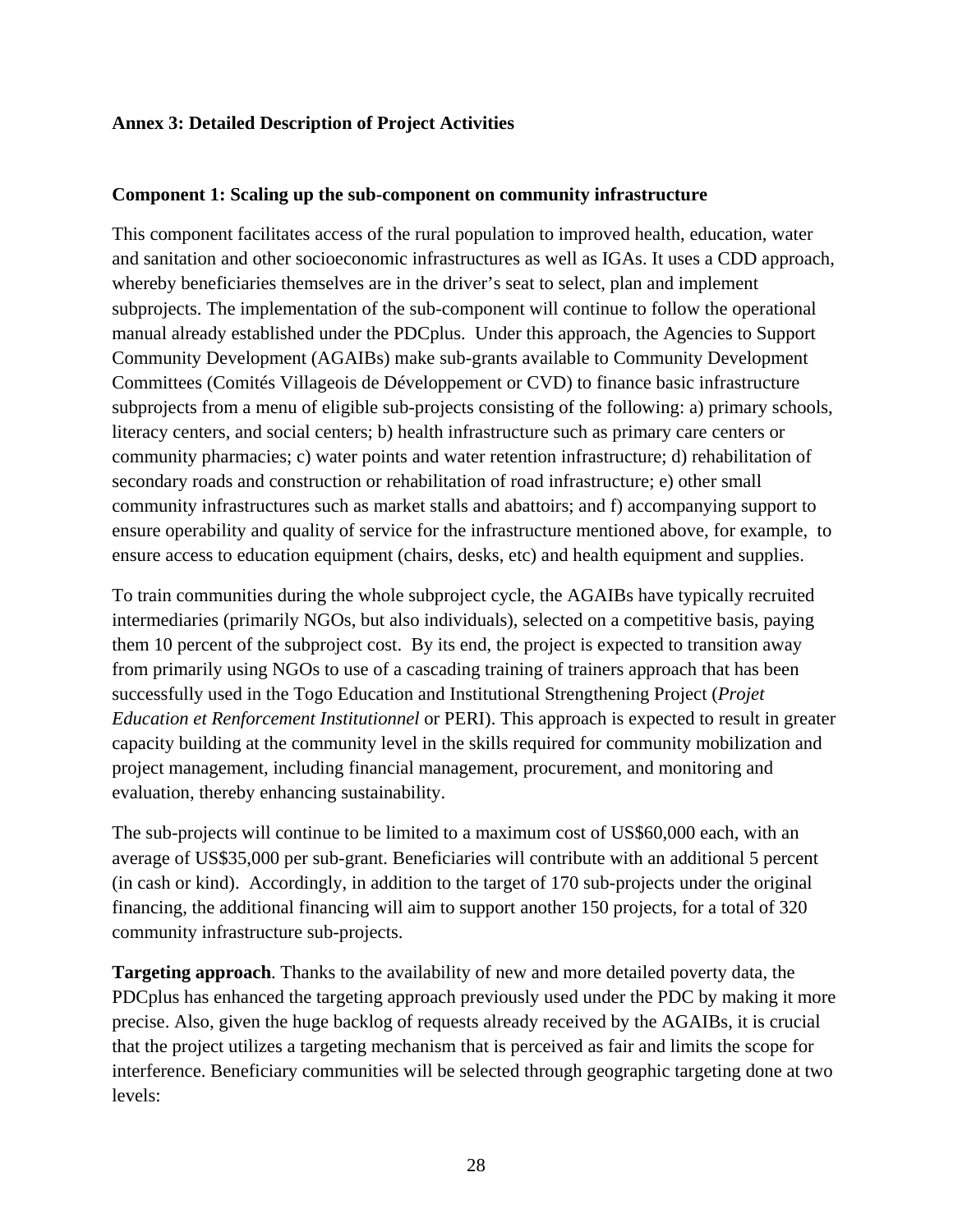### **Annex 3: Detailed Description of Project Activities**

#### **Component 1: Scaling up the sub-component on community infrastructure**

This component facilitates access of the rural population to improved health, education, water and sanitation and other socioeconomic infrastructures as well as IGAs. It uses a CDD approach, whereby beneficiaries themselves are in the driver's seat to select, plan and implement subprojects. The implementation of the sub-component will continue to follow the operational manual already established under the PDCplus. Under this approach, the Agencies to Support Community Development (AGAIBs) make sub-grants available to Community Development Committees (Comités Villageois de Développement or CVD) to finance basic infrastructure subprojects from a menu of eligible sub-projects consisting of the following: a) primary schools, literacy centers, and social centers; b) health infrastructure such as primary care centers or community pharmacies; c) water points and water retention infrastructure; d) rehabilitation of secondary roads and construction or rehabilitation of road infrastructure; e) other small community infrastructures such as market stalls and abattoirs; and f) accompanying support to ensure operability and quality of service for the infrastructure mentioned above, for example, to ensure access to education equipment (chairs, desks, etc) and health equipment and supplies.

To train communities during the whole subproject cycle, the AGAIBs have typically recruited intermediaries (primarily NGOs, but also individuals), selected on a competitive basis, paying them 10 percent of the subproject cost. By its end, the project is expected to transition away from primarily using NGOs to use of a cascading training of trainers approach that has been successfully used in the Togo Education and Institutional Strengthening Project (*Projet Education et Renforcement Institutionnel* or PERI). This approach is expected to result in greater capacity building at the community level in the skills required for community mobilization and project management, including financial management, procurement, and monitoring and evaluation, thereby enhancing sustainability.

The sub-projects will continue to be limited to a maximum cost of US\$60,000 each, with an average of US\$35,000 per sub-grant. Beneficiaries will contribute with an additional 5 percent (in cash or kind). Accordingly, in addition to the target of 170 sub-projects under the original financing, the additional financing will aim to support another 150 projects, for a total of 320 community infrastructure sub-projects.

**Targeting approach**. Thanks to the availability of new and more detailed poverty data, the PDCplus has enhanced the targeting approach previously used under the PDC by making it more precise. Also, given the huge backlog of requests already received by the AGAIBs, it is crucial that the project utilizes a targeting mechanism that is perceived as fair and limits the scope for interference. Beneficiary communities will be selected through geographic targeting done at two levels: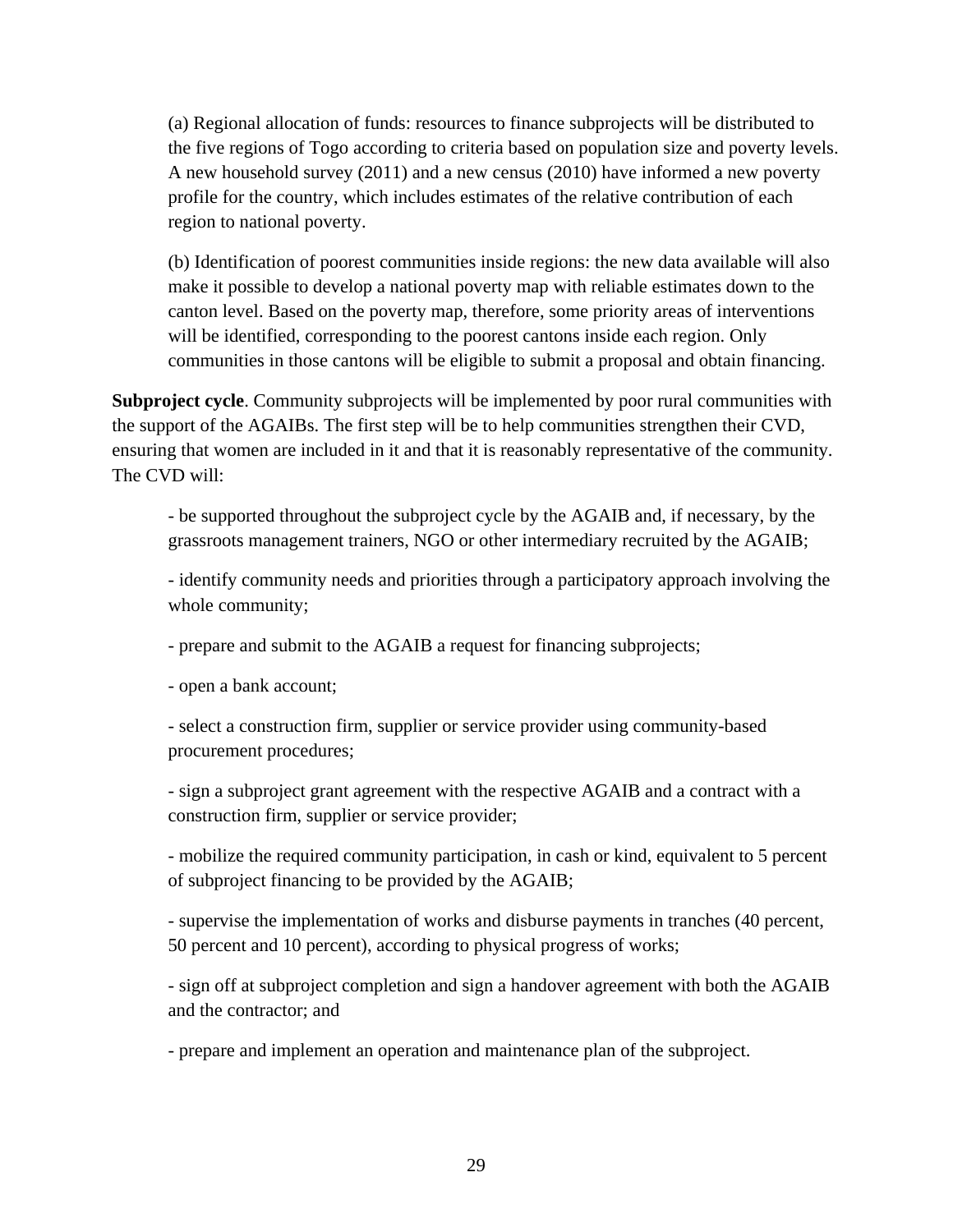(a) Regional allocation of funds: resources to finance subprojects will be distributed to the five regions of Togo according to criteria based on population size and poverty levels. A new household survey (2011) and a new census (2010) have informed a new poverty profile for the country, which includes estimates of the relative contribution of each region to national poverty.

(b) Identification of poorest communities inside regions: the new data available will also make it possible to develop a national poverty map with reliable estimates down to the canton level. Based on the poverty map, therefore, some priority areas of interventions will be identified, corresponding to the poorest cantons inside each region. Only communities in those cantons will be eligible to submit a proposal and obtain financing.

**Subproject cycle**. Community subprojects will be implemented by poor rural communities with the support of the AGAIBs. The first step will be to help communities strengthen their CVD, ensuring that women are included in it and that it is reasonably representative of the community. The CVD will:

- be supported throughout the subproject cycle by the AGAIB and, if necessary, by the grassroots management trainers, NGO or other intermediary recruited by the AGAIB;

- identify community needs and priorities through a participatory approach involving the whole community;

- prepare and submit to the AGAIB a request for financing subprojects;

- open a bank account;

- select a construction firm, supplier or service provider using community-based procurement procedures;

- sign a subproject grant agreement with the respective AGAIB and a contract with a construction firm, supplier or service provider;

- mobilize the required community participation, in cash or kind, equivalent to 5 percent of subproject financing to be provided by the AGAIB;

- supervise the implementation of works and disburse payments in tranches (40 percent, 50 percent and 10 percent), according to physical progress of works;

- sign off at subproject completion and sign a handover agreement with both the AGAIB and the contractor; and

- prepare and implement an operation and maintenance plan of the subproject.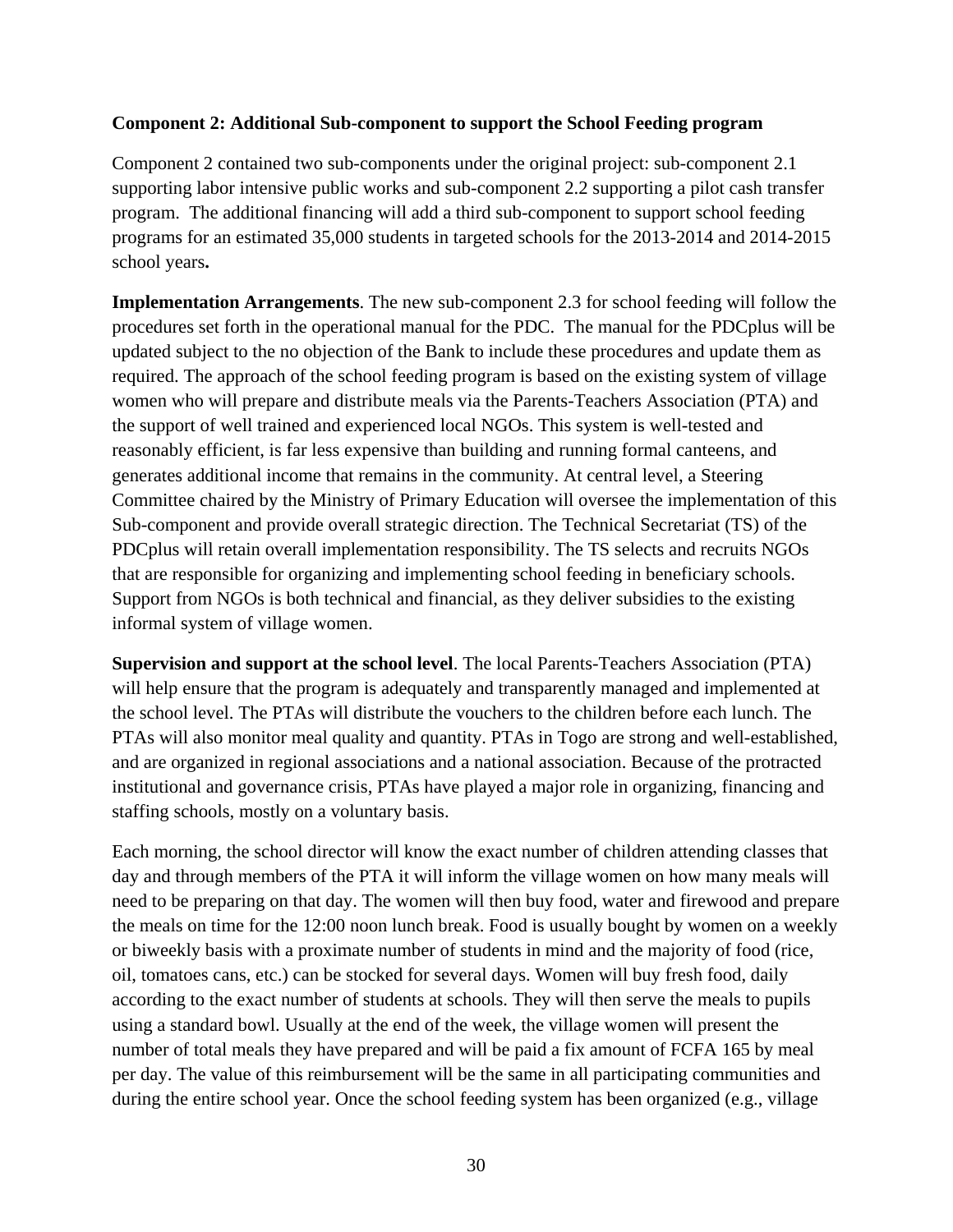### **Component 2: Additional Sub-component to support the School Feeding program**

Component 2 contained two sub-components under the original project: sub-component 2.1 supporting labor intensive public works and sub-component 2.2 supporting a pilot cash transfer program. The additional financing will add a third sub-component to support school feeding programs for an estimated 35,000 students in targeted schools for the 2013-2014 and 2014-2015 school years**.** 

**Implementation Arrangements**. The new sub-component 2.3 for school feeding will follow the procedures set forth in the operational manual for the PDC. The manual for the PDCplus will be updated subject to the no objection of the Bank to include these procedures and update them as required. The approach of the school feeding program is based on the existing system of village women who will prepare and distribute meals via the Parents-Teachers Association (PTA) and the support of well trained and experienced local NGOs. This system is well-tested and reasonably efficient, is far less expensive than building and running formal canteens, and generates additional income that remains in the community. At central level, a Steering Committee chaired by the Ministry of Primary Education will oversee the implementation of this Sub-component and provide overall strategic direction. The Technical Secretariat (TS) of the PDCplus will retain overall implementation responsibility. The TS selects and recruits NGOs that are responsible for organizing and implementing school feeding in beneficiary schools. Support from NGOs is both technical and financial, as they deliver subsidies to the existing informal system of village women.

**Supervision and support at the school level**. The local Parents-Teachers Association (PTA) will help ensure that the program is adequately and transparently managed and implemented at the school level. The PTAs will distribute the vouchers to the children before each lunch. The PTAs will also monitor meal quality and quantity. PTAs in Togo are strong and well-established, and are organized in regional associations and a national association. Because of the protracted institutional and governance crisis, PTAs have played a major role in organizing, financing and staffing schools, mostly on a voluntary basis.

Each morning, the school director will know the exact number of children attending classes that day and through members of the PTA it will inform the village women on how many meals will need to be preparing on that day. The women will then buy food, water and firewood and prepare the meals on time for the 12:00 noon lunch break. Food is usually bought by women on a weekly or biweekly basis with a proximate number of students in mind and the majority of food (rice, oil, tomatoes cans, etc.) can be stocked for several days. Women will buy fresh food, daily according to the exact number of students at schools. They will then serve the meals to pupils using a standard bowl. Usually at the end of the week, the village women will present the number of total meals they have prepared and will be paid a fix amount of FCFA 165 by meal per day. The value of this reimbursement will be the same in all participating communities and during the entire school year. Once the school feeding system has been organized (e.g., village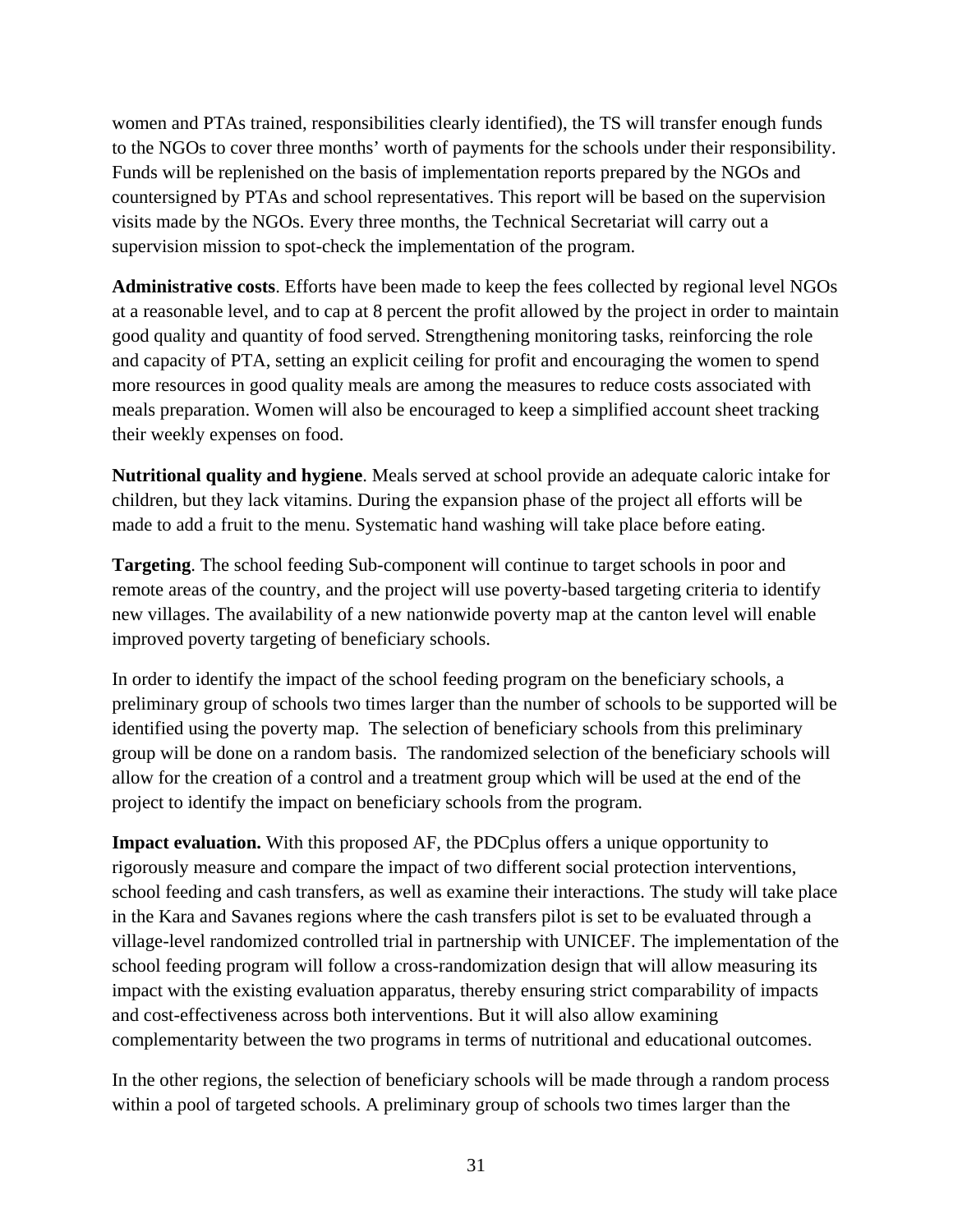women and PTAs trained, responsibilities clearly identified), the TS will transfer enough funds to the NGOs to cover three months' worth of payments for the schools under their responsibility. Funds will be replenished on the basis of implementation reports prepared by the NGOs and countersigned by PTAs and school representatives. This report will be based on the supervision visits made by the NGOs. Every three months, the Technical Secretariat will carry out a supervision mission to spot-check the implementation of the program.

**Administrative costs**. Efforts have been made to keep the fees collected by regional level NGOs at a reasonable level, and to cap at 8 percent the profit allowed by the project in order to maintain good quality and quantity of food served. Strengthening monitoring tasks, reinforcing the role and capacity of PTA, setting an explicit ceiling for profit and encouraging the women to spend more resources in good quality meals are among the measures to reduce costs associated with meals preparation. Women will also be encouraged to keep a simplified account sheet tracking their weekly expenses on food.

**Nutritional quality and hygiene**. Meals served at school provide an adequate caloric intake for children, but they lack vitamins. During the expansion phase of the project all efforts will be made to add a fruit to the menu. Systematic hand washing will take place before eating.

**Targeting**. The school feeding Sub-component will continue to target schools in poor and remote areas of the country, and the project will use poverty-based targeting criteria to identify new villages. The availability of a new nationwide poverty map at the canton level will enable improved poverty targeting of beneficiary schools.

In order to identify the impact of the school feeding program on the beneficiary schools, a preliminary group of schools two times larger than the number of schools to be supported will be identified using the poverty map. The selection of beneficiary schools from this preliminary group will be done on a random basis. The randomized selection of the beneficiary schools will allow for the creation of a control and a treatment group which will be used at the end of the project to identify the impact on beneficiary schools from the program.

**Impact evaluation.** With this proposed AF, the PDCplus offers a unique opportunity to rigorously measure and compare the impact of two different social protection interventions, school feeding and cash transfers, as well as examine their interactions. The study will take place in the Kara and Savanes regions where the cash transfers pilot is set to be evaluated through a village-level randomized controlled trial in partnership with UNICEF. The implementation of the school feeding program will follow a cross-randomization design that will allow measuring its impact with the existing evaluation apparatus, thereby ensuring strict comparability of impacts and cost-effectiveness across both interventions. But it will also allow examining complementarity between the two programs in terms of nutritional and educational outcomes.

In the other regions, the selection of beneficiary schools will be made through a random process within a pool of targeted schools. A preliminary group of schools two times larger than the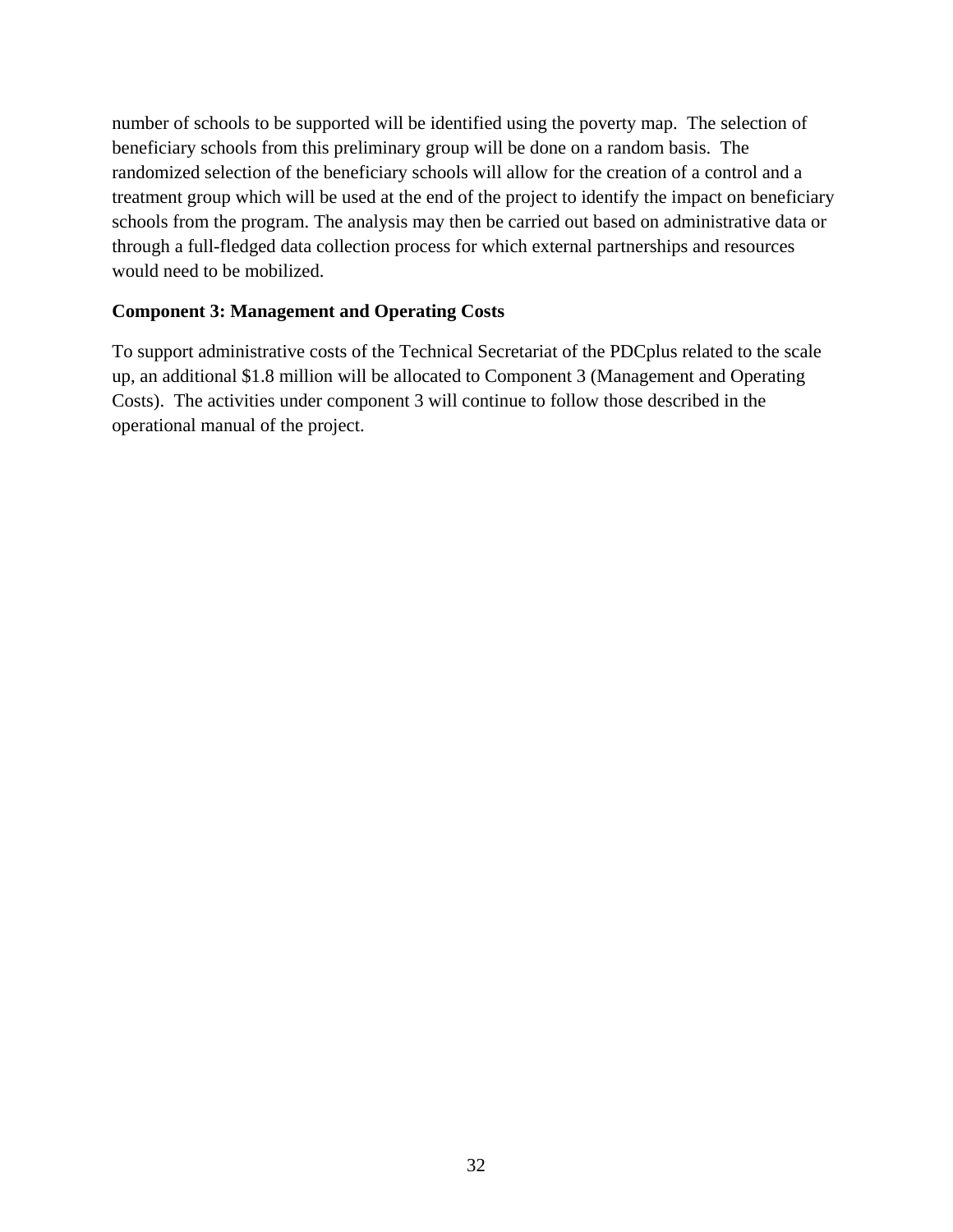number of schools to be supported will be identified using the poverty map. The selection of beneficiary schools from this preliminary group will be done on a random basis. The randomized selection of the beneficiary schools will allow for the creation of a control and a treatment group which will be used at the end of the project to identify the impact on beneficiary schools from the program. The analysis may then be carried out based on administrative data or through a full-fledged data collection process for which external partnerships and resources would need to be mobilized.

### **Component 3: Management and Operating Costs**

To support administrative costs of the Technical Secretariat of the PDCplus related to the scale up, an additional \$1.8 million will be allocated to Component 3 (Management and Operating Costs). The activities under component 3 will continue to follow those described in the operational manual of the project.